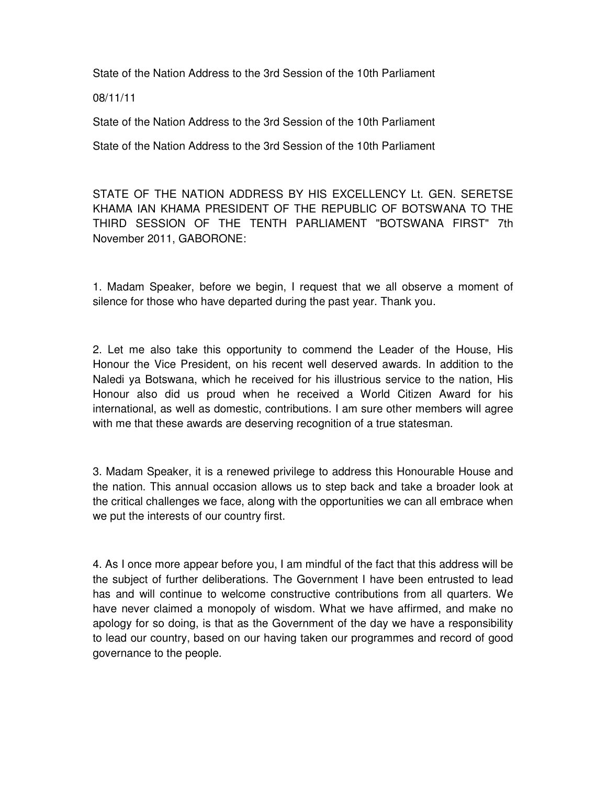State of the Nation Address to the 3rd Session of the 10th Parliament

08/11/11

State of the Nation Address to the 3rd Session of the 10th Parliament

State of the Nation Address to the 3rd Session of the 10th Parliament

STATE OF THE NATION ADDRESS BY HIS EXCELLENCY Lt. GEN. SERETSE KHAMA IAN KHAMA PRESIDENT OF THE REPUBLIC OF BOTSWANA TO THE THIRD SESSION OF THE TENTH PARLIAMENT "BOTSWANA FIRST" 7th November 2011, GABORONE:

1. Madam Speaker, before we begin, I request that we all observe a moment of silence for those who have departed during the past year. Thank you.

2. Let me also take this opportunity to commend the Leader of the House, His Honour the Vice President, on his recent well deserved awards. In addition to the Naledi ya Botswana, which he received for his illustrious service to the nation, His Honour also did us proud when he received a World Citizen Award for his international, as well as domestic, contributions. I am sure other members will agree with me that these awards are deserving recognition of a true statesman.

3. Madam Speaker, it is a renewed privilege to address this Honourable House and the nation. This annual occasion allows us to step back and take a broader look at the critical challenges we face, along with the opportunities we can all embrace when we put the interests of our country first.

4. As I once more appear before you, I am mindful of the fact that this address will be the subject of further deliberations. The Government I have been entrusted to lead has and will continue to welcome constructive contributions from all quarters. We have never claimed a monopoly of wisdom. What we have affirmed, and make no apology for so doing, is that as the Government of the day we have a responsibility to lead our country, based on our having taken our programmes and record of good governance to the people.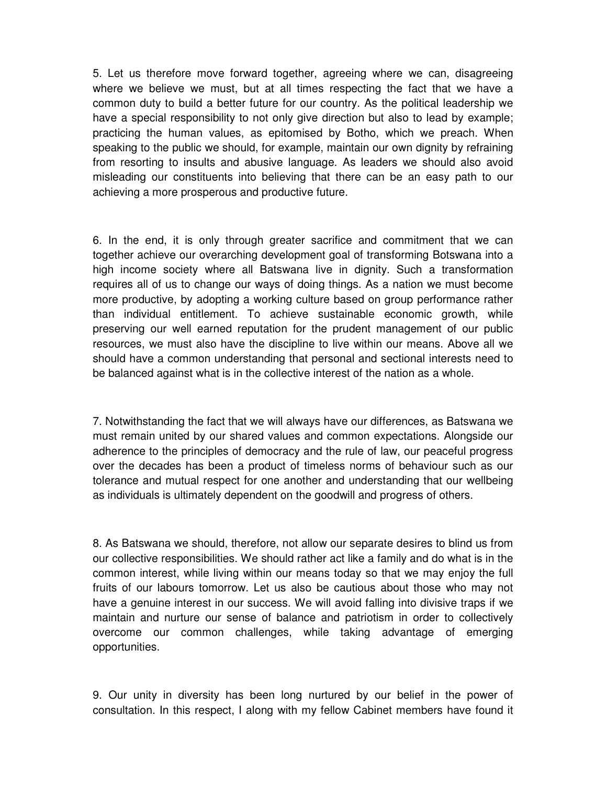5. Let us therefore move forward together, agreeing where we can, disagreeing where we believe we must, but at all times respecting the fact that we have a common duty to build a better future for our country. As the political leadership we have a special responsibility to not only give direction but also to lead by example; practicing the human values, as epitomised by Botho, which we preach. When speaking to the public we should, for example, maintain our own dignity by refraining from resorting to insults and abusive language. As leaders we should also avoid misleading our constituents into believing that there can be an easy path to our achieving a more prosperous and productive future.

6. In the end, it is only through greater sacrifice and commitment that we can together achieve our overarching development goal of transforming Botswana into a high income society where all Batswana live in dignity. Such a transformation requires all of us to change our ways of doing things. As a nation we must become more productive, by adopting a working culture based on group performance rather than individual entitlement. To achieve sustainable economic growth, while preserving our well earned reputation for the prudent management of our public resources, we must also have the discipline to live within our means. Above all we should have a common understanding that personal and sectional interests need to be balanced against what is in the collective interest of the nation as a whole.

7. Notwithstanding the fact that we will always have our differences, as Batswana we must remain united by our shared values and common expectations. Alongside our adherence to the principles of democracy and the rule of law, our peaceful progress over the decades has been a product of timeless norms of behaviour such as our tolerance and mutual respect for one another and understanding that our wellbeing as individuals is ultimately dependent on the goodwill and progress of others.

8. As Batswana we should, therefore, not allow our separate desires to blind us from our collective responsibilities. We should rather act like a family and do what is in the common interest, while living within our means today so that we may enjoy the full fruits of our labours tomorrow. Let us also be cautious about those who may not have a genuine interest in our success. We will avoid falling into divisive traps if we maintain and nurture our sense of balance and patriotism in order to collectively overcome our common challenges, while taking advantage of emerging opportunities.

9. Our unity in diversity has been long nurtured by our belief in the power of consultation. In this respect, I along with my fellow Cabinet members have found it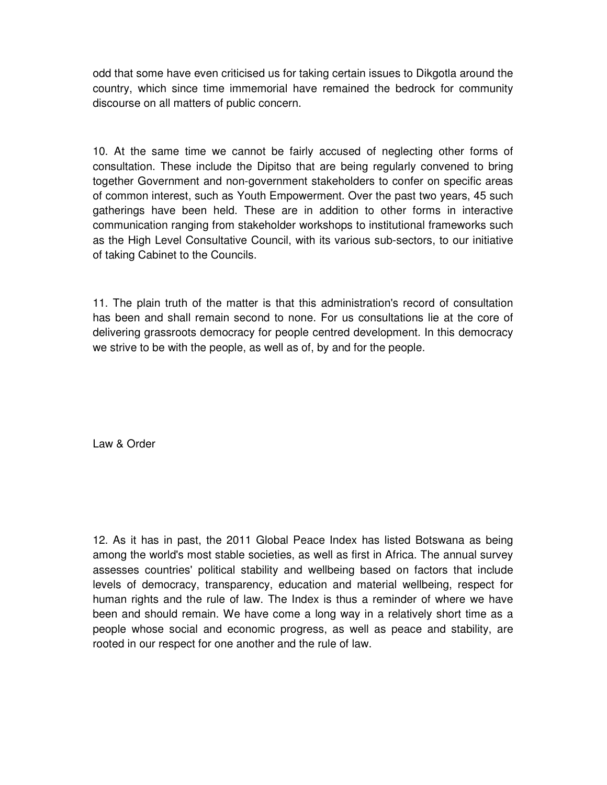odd that some have even criticised us for taking certain issues to Dikgotla around the country, which since time immemorial have remained the bedrock for community discourse on all matters of public concern.

10. At the same time we cannot be fairly accused of neglecting other forms of consultation. These include the Dipitso that are being regularly convened to bring together Government and non-government stakeholders to confer on specific areas of common interest, such as Youth Empowerment. Over the past two years, 45 such gatherings have been held. These are in addition to other forms in interactive communication ranging from stakeholder workshops to institutional frameworks such as the High Level Consultative Council, with its various sub-sectors, to our initiative of taking Cabinet to the Councils.

11. The plain truth of the matter is that this administration's record of consultation has been and shall remain second to none. For us consultations lie at the core of delivering grassroots democracy for people centred development. In this democracy we strive to be with the people, as well as of, by and for the people.

Law & Order

12. As it has in past, the 2011 Global Peace Index has listed Botswana as being among the world's most stable societies, as well as first in Africa. The annual survey assesses countries' political stability and wellbeing based on factors that include levels of democracy, transparency, education and material wellbeing, respect for human rights and the rule of law. The Index is thus a reminder of where we have been and should remain. We have come a long way in a relatively short time as a people whose social and economic progress, as well as peace and stability, are rooted in our respect for one another and the rule of law.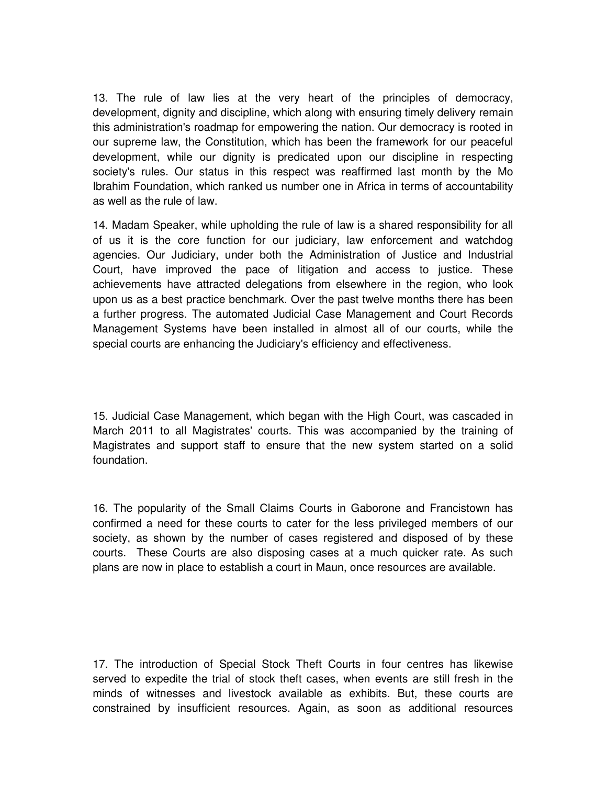13. The rule of law lies at the very heart of the principles of democracy, development, dignity and discipline, which along with ensuring timely delivery remain this administration's roadmap for empowering the nation. Our democracy is rooted in our supreme law, the Constitution, which has been the framework for our peaceful development, while our dignity is predicated upon our discipline in respecting society's rules. Our status in this respect was reaffirmed last month by the Mo Ibrahim Foundation, which ranked us number one in Africa in terms of accountability as well as the rule of law.

14. Madam Speaker, while upholding the rule of law is a shared responsibility for all of us it is the core function for our judiciary, law enforcement and watchdog agencies. Our Judiciary, under both the Administration of Justice and Industrial Court, have improved the pace of litigation and access to justice. These achievements have attracted delegations from elsewhere in the region, who look upon us as a best practice benchmark. Over the past twelve months there has been a further progress. The automated Judicial Case Management and Court Records Management Systems have been installed in almost all of our courts, while the special courts are enhancing the Judiciary's efficiency and effectiveness.

15. Judicial Case Management, which began with the High Court, was cascaded in March 2011 to all Magistrates' courts. This was accompanied by the training of Magistrates and support staff to ensure that the new system started on a solid foundation.

16. The popularity of the Small Claims Courts in Gaborone and Francistown has confirmed a need for these courts to cater for the less privileged members of our society, as shown by the number of cases registered and disposed of by these courts. These Courts are also disposing cases at a much quicker rate. As such plans are now in place to establish a court in Maun, once resources are available.

17. The introduction of Special Stock Theft Courts in four centres has likewise served to expedite the trial of stock theft cases, when events are still fresh in the minds of witnesses and livestock available as exhibits. But, these courts are constrained by insufficient resources. Again, as soon as additional resources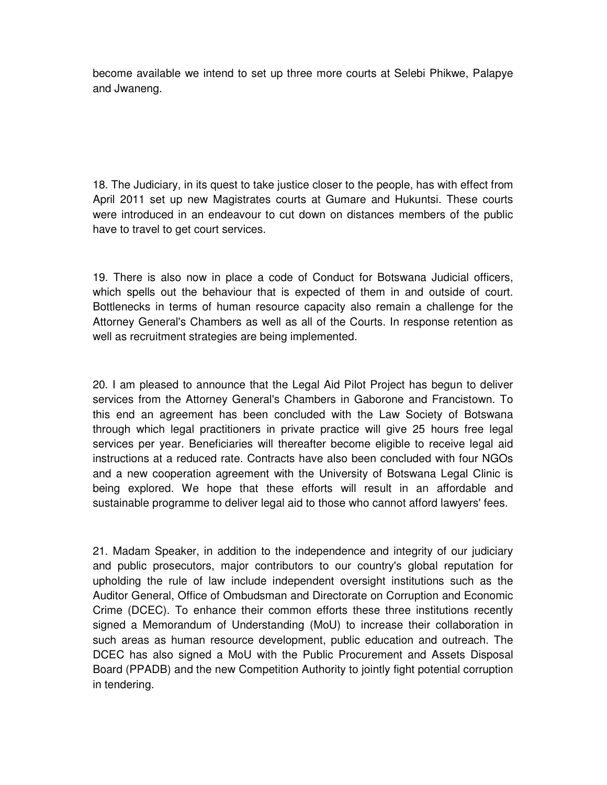become available we intend to set up three more courts at Selebi Phikwe, Palapye and Jwaneng.

18. The Judiciary, in its quest to take justice closer to the people, has with effect from April 2011 set up new Magistrates courts at Gumare and Hukuntsi. These courts were introduced in an endeavour to cut down on distances members of the public have to travel to get court services.

19. There is also now in place a code of Conduct for Botswana Judicial officers, which spells out the behaviour that is expected of them in and outside of court. Bottlenecks in terms of human resource capacity also remain a challenge for the Attorney General's Chambers as well as all of the Courts. In response retention as well as recruitment strategies are being implemented.

20. I am pleased to announce that the Legal Aid Pilot Project has begun to deliver services from the Attorney General's Chambers in Gaborone and Francistown. To this end an agreement has been concluded with the Law Society of Botswana through which legal practitioners in private practice will give 25 hours free legal services per year. Beneficiaries will thereafter become eligible to receive legal aid instructions at a reduced rate. Contracts have also been concluded with four NGOs and a new cooperation agreement with the University of Botswana Legal Clinic is being explored. We hope that these efforts will result in an affordable and sustainable programme to deliver legal aid to those who cannot afford lawyers' fees.

21. Madam Speaker, in addition to the independence and integrity of our judiciary and public prosecutors, major contributors to our country's global reputation for upholding the rule of law include independent oversight institutions such as the Auditor General, Office of Ombudsman and Directorate on Corruption and Economic Crime (DCEC). To enhance their common efforts these three institutions recently signed a Memorandum of Understanding (MoU) to increase their collaboration in such areas as human resource development, public education and outreach. The DCEC has also signed a MoU with the Public Procurement and Assets Disposal Board (PPADB) and the new Competition Authority to jointly fight potential corruption in tendering.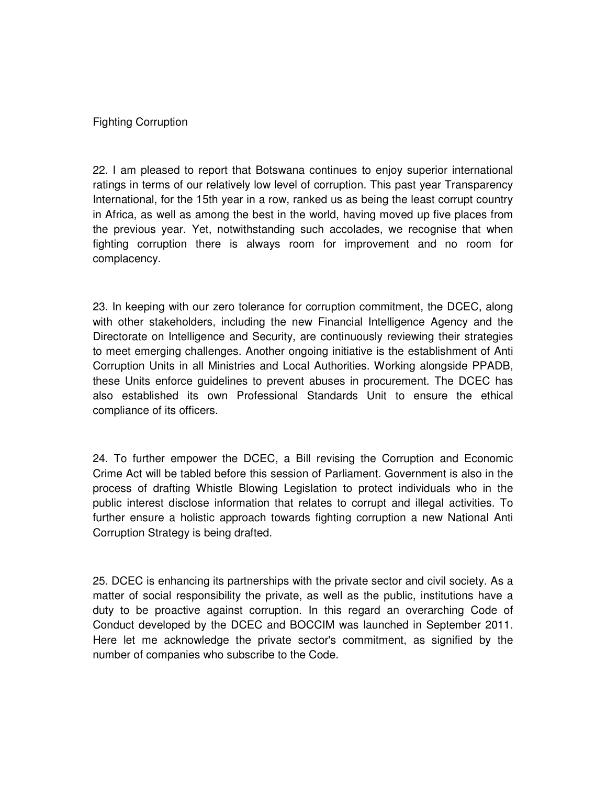## Fighting Corruption

22. I am pleased to report that Botswana continues to enjoy superior international ratings in terms of our relatively low level of corruption. This past year Transparency International, for the 15th year in a row, ranked us as being the least corrupt country in Africa, as well as among the best in the world, having moved up five places from the previous year. Yet, notwithstanding such accolades, we recognise that when fighting corruption there is always room for improvement and no room for complacency.

23. In keeping with our zero tolerance for corruption commitment, the DCEC, along with other stakeholders, including the new Financial Intelligence Agency and the Directorate on Intelligence and Security, are continuously reviewing their strategies to meet emerging challenges. Another ongoing initiative is the establishment of Anti Corruption Units in all Ministries and Local Authorities. Working alongside PPADB, these Units enforce guidelines to prevent abuses in procurement. The DCEC has also established its own Professional Standards Unit to ensure the ethical compliance of its officers.

24. To further empower the DCEC, a Bill revising the Corruption and Economic Crime Act will be tabled before this session of Parliament. Government is also in the process of drafting Whistle Blowing Legislation to protect individuals who in the public interest disclose information that relates to corrupt and illegal activities. To further ensure a holistic approach towards fighting corruption a new National Anti Corruption Strategy is being drafted.

25. DCEC is enhancing its partnerships with the private sector and civil society. As a matter of social responsibility the private, as well as the public, institutions have a duty to be proactive against corruption. In this regard an overarching Code of Conduct developed by the DCEC and BOCCIM was launched in September 2011. Here let me acknowledge the private sector's commitment, as signified by the number of companies who subscribe to the Code.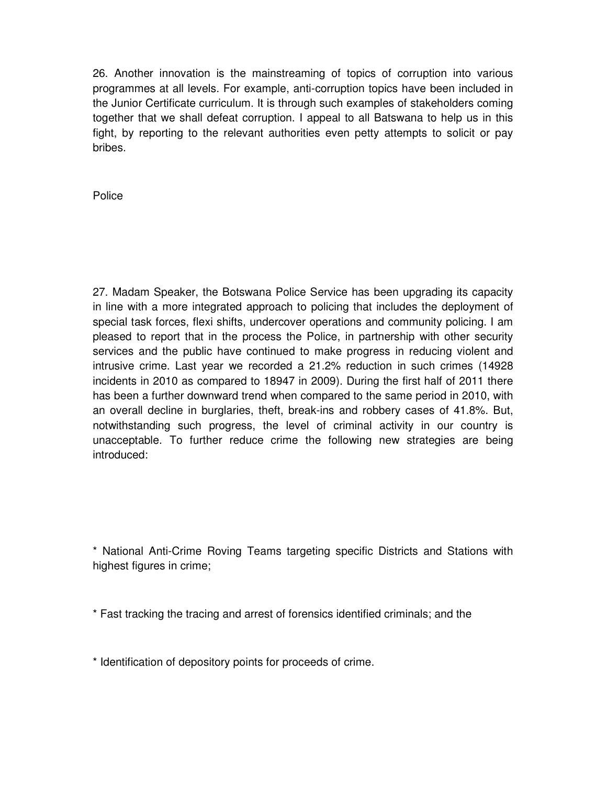26. Another innovation is the mainstreaming of topics of corruption into various programmes at all levels. For example, anti-corruption topics have been included in the Junior Certificate curriculum. It is through such examples of stakeholders coming together that we shall defeat corruption. I appeal to all Batswana to help us in this fight, by reporting to the relevant authorities even petty attempts to solicit or pay bribes.

Police

27. Madam Speaker, the Botswana Police Service has been upgrading its capacity in line with a more integrated approach to policing that includes the deployment of special task forces, flexi shifts, undercover operations and community policing. I am pleased to report that in the process the Police, in partnership with other security services and the public have continued to make progress in reducing violent and intrusive crime. Last year we recorded a 21.2% reduction in such crimes (14928 incidents in 2010 as compared to 18947 in 2009). During the first half of 2011 there has been a further downward trend when compared to the same period in 2010, with an overall decline in burglaries, theft, break-ins and robbery cases of 41.8%. But, notwithstanding such progress, the level of criminal activity in our country is unacceptable. To further reduce crime the following new strategies are being introduced:

\* National Anti-Crime Roving Teams targeting specific Districts and Stations with highest figures in crime;

\* Fast tracking the tracing and arrest of forensics identified criminals; and the

\* Identification of depository points for proceeds of crime.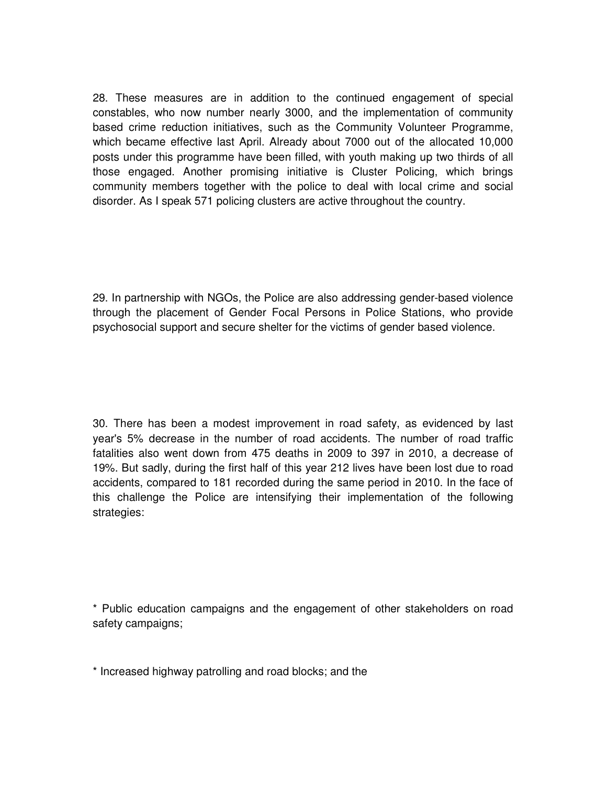28. These measures are in addition to the continued engagement of special constables, who now number nearly 3000, and the implementation of community based crime reduction initiatives, such as the Community Volunteer Programme, which became effective last April. Already about 7000 out of the allocated 10,000 posts under this programme have been filled, with youth making up two thirds of all those engaged. Another promising initiative is Cluster Policing, which brings community members together with the police to deal with local crime and social disorder. As I speak 571 policing clusters are active throughout the country.

29. In partnership with NGOs, the Police are also addressing gender-based violence through the placement of Gender Focal Persons in Police Stations, who provide psychosocial support and secure shelter for the victims of gender based violence.

30. There has been a modest improvement in road safety, as evidenced by last year's 5% decrease in the number of road accidents. The number of road traffic fatalities also went down from 475 deaths in 2009 to 397 in 2010, a decrease of 19%. But sadly, during the first half of this year 212 lives have been lost due to road accidents, compared to 181 recorded during the same period in 2010. In the face of this challenge the Police are intensifying their implementation of the following strategies:

\* Public education campaigns and the engagement of other stakeholders on road safety campaigns;

\* Increased highway patrolling and road blocks; and the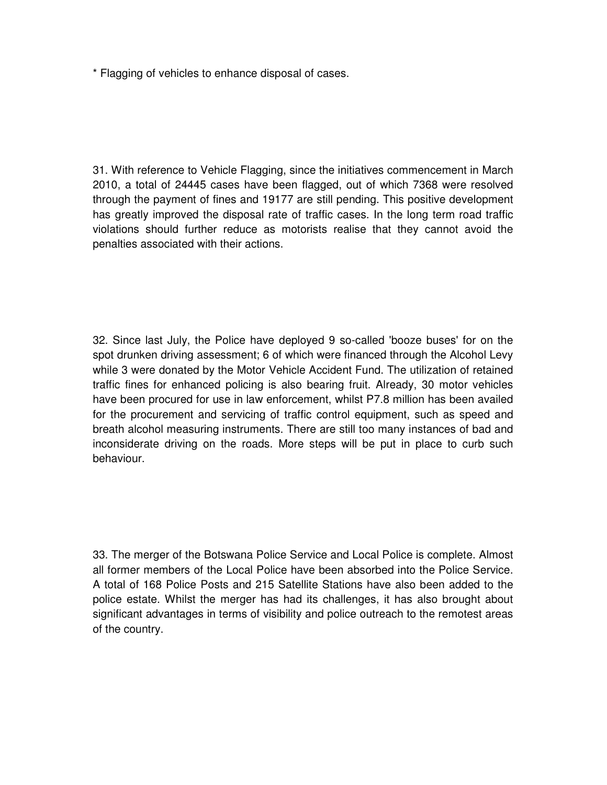\* Flagging of vehicles to enhance disposal of cases.

31. With reference to Vehicle Flagging, since the initiatives commencement in March 2010, a total of 24445 cases have been flagged, out of which 7368 were resolved through the payment of fines and 19177 are still pending. This positive development has greatly improved the disposal rate of traffic cases. In the long term road traffic violations should further reduce as motorists realise that they cannot avoid the penalties associated with their actions.

32. Since last July, the Police have deployed 9 so-called 'booze buses' for on the spot drunken driving assessment; 6 of which were financed through the Alcohol Levy while 3 were donated by the Motor Vehicle Accident Fund. The utilization of retained traffic fines for enhanced policing is also bearing fruit. Already, 30 motor vehicles have been procured for use in law enforcement, whilst P7.8 million has been availed for the procurement and servicing of traffic control equipment, such as speed and breath alcohol measuring instruments. There are still too many instances of bad and inconsiderate driving on the roads. More steps will be put in place to curb such behaviour.

33. The merger of the Botswana Police Service and Local Police is complete. Almost all former members of the Local Police have been absorbed into the Police Service. A total of 168 Police Posts and 215 Satellite Stations have also been added to the police estate. Whilst the merger has had its challenges, it has also brought about significant advantages in terms of visibility and police outreach to the remotest areas of the country.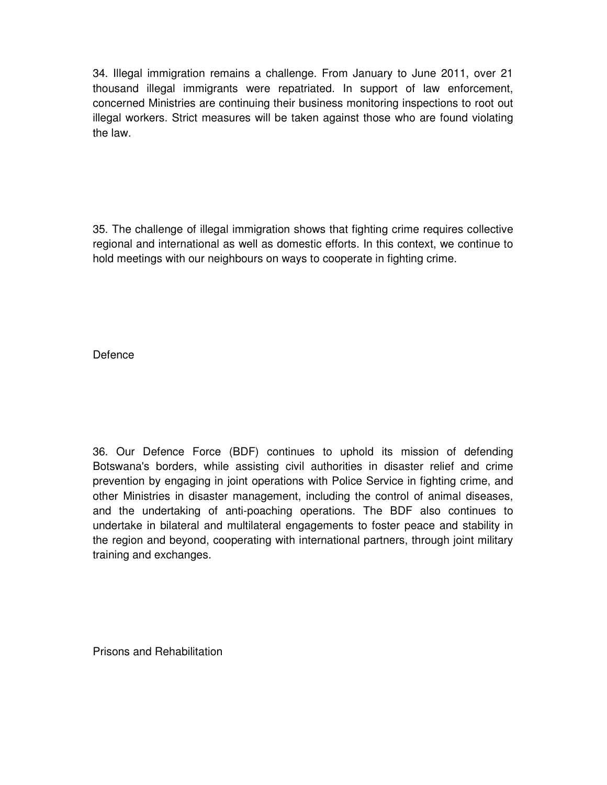34. Illegal immigration remains a challenge. From January to June 2011, over 21 thousand illegal immigrants were repatriated. In support of law enforcement, concerned Ministries are continuing their business monitoring inspections to root out illegal workers. Strict measures will be taken against those who are found violating the law.

35. The challenge of illegal immigration shows that fighting crime requires collective regional and international as well as domestic efforts. In this context, we continue to hold meetings with our neighbours on ways to cooperate in fighting crime.

Defence

36. Our Defence Force (BDF) continues to uphold its mission of defending Botswana's borders, while assisting civil authorities in disaster relief and crime prevention by engaging in joint operations with Police Service in fighting crime, and other Ministries in disaster management, including the control of animal diseases, and the undertaking of anti-poaching operations. The BDF also continues to undertake in bilateral and multilateral engagements to foster peace and stability in the region and beyond, cooperating with international partners, through joint military training and exchanges.

Prisons and Rehabilitation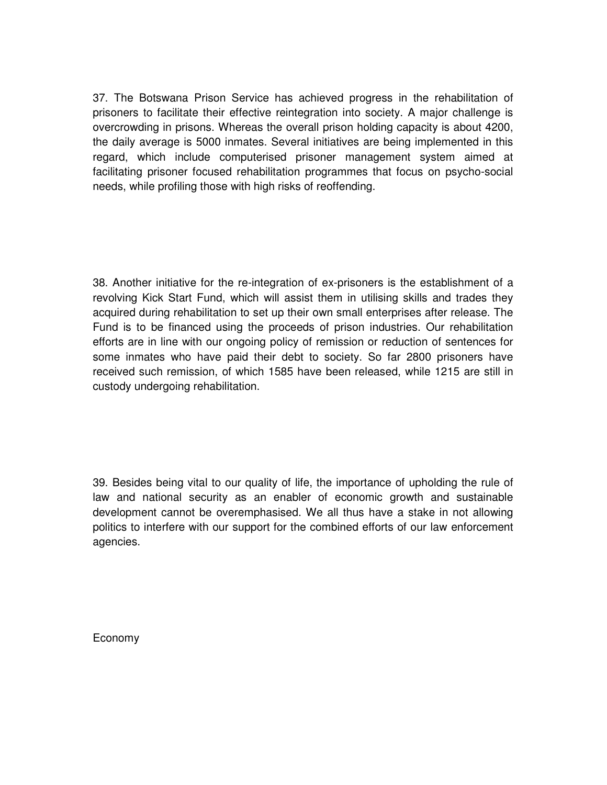37. The Botswana Prison Service has achieved progress in the rehabilitation of prisoners to facilitate their effective reintegration into society. A major challenge is overcrowding in prisons. Whereas the overall prison holding capacity is about 4200, the daily average is 5000 inmates. Several initiatives are being implemented in this regard, which include computerised prisoner management system aimed at facilitating prisoner focused rehabilitation programmes that focus on psycho-social needs, while profiling those with high risks of reoffending.

38. Another initiative for the re-integration of ex-prisoners is the establishment of a revolving Kick Start Fund, which will assist them in utilising skills and trades they acquired during rehabilitation to set up their own small enterprises after release. The Fund is to be financed using the proceeds of prison industries. Our rehabilitation efforts are in line with our ongoing policy of remission or reduction of sentences for some inmates who have paid their debt to society. So far 2800 prisoners have received such remission, of which 1585 have been released, while 1215 are still in custody undergoing rehabilitation.

39. Besides being vital to our quality of life, the importance of upholding the rule of law and national security as an enabler of economic growth and sustainable development cannot be overemphasised. We all thus have a stake in not allowing politics to interfere with our support for the combined efforts of our law enforcement agencies.

Economy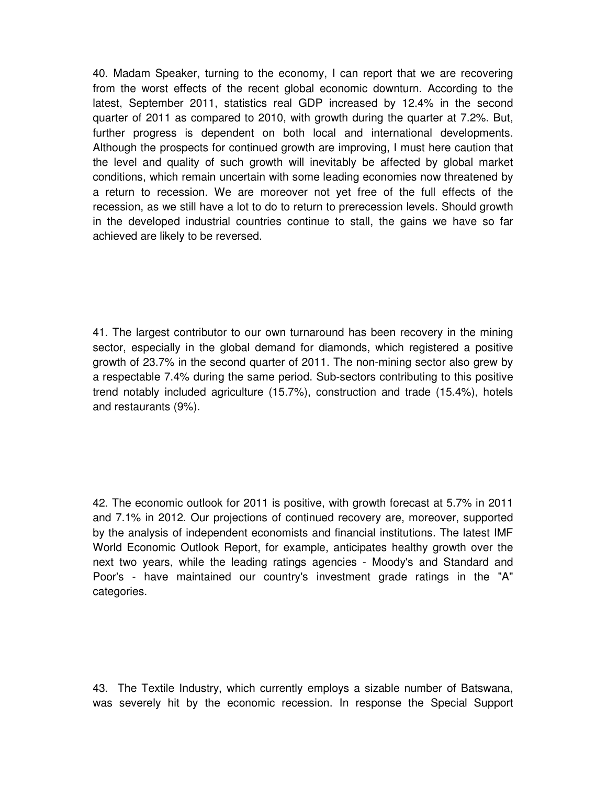40. Madam Speaker, turning to the economy, I can report that we are recovering from the worst effects of the recent global economic downturn. According to the latest, September 2011, statistics real GDP increased by 12.4% in the second quarter of 2011 as compared to 2010, with growth during the quarter at 7.2%. But, further progress is dependent on both local and international developments. Although the prospects for continued growth are improving, I must here caution that the level and quality of such growth will inevitably be affected by global market conditions, which remain uncertain with some leading economies now threatened by a return to recession. We are moreover not yet free of the full effects of the recession, as we still have a lot to do to return to prerecession levels. Should growth in the developed industrial countries continue to stall, the gains we have so far achieved are likely to be reversed.

41. The largest contributor to our own turnaround has been recovery in the mining sector, especially in the global demand for diamonds, which registered a positive growth of 23.7% in the second quarter of 2011. The non-mining sector also grew by a respectable 7.4% during the same period. Sub-sectors contributing to this positive trend notably included agriculture (15.7%), construction and trade (15.4%), hotels and restaurants (9%).

42. The economic outlook for 2011 is positive, with growth forecast at 5.7% in 2011 and 7.1% in 2012. Our projections of continued recovery are, moreover, supported by the analysis of independent economists and financial institutions. The latest IMF World Economic Outlook Report, for example, anticipates healthy growth over the next two years, while the leading ratings agencies - Moody's and Standard and Poor's - have maintained our country's investment grade ratings in the "A" categories.

43. The Textile Industry, which currently employs a sizable number of Batswana, was severely hit by the economic recession. In response the Special Support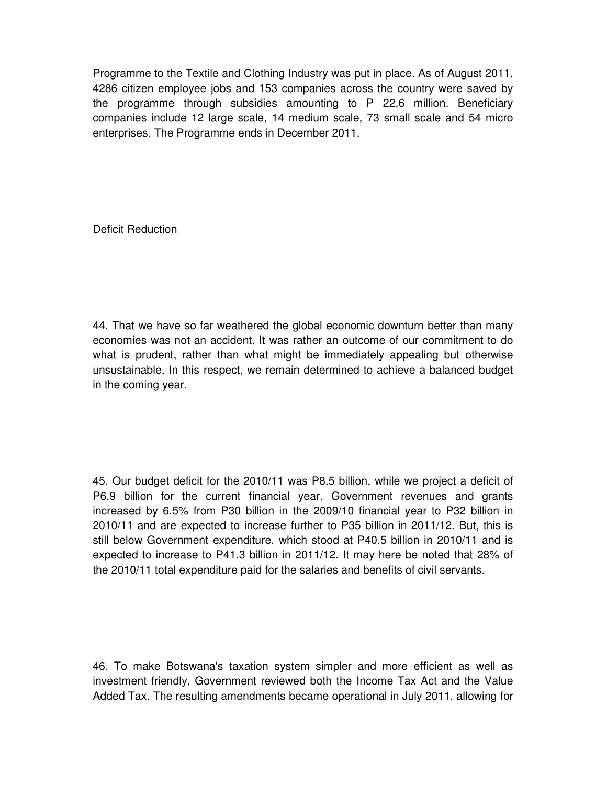Programme to the Textile and Clothing Industry was put in place. As of August 2011, 4286 citizen employee jobs and 153 companies across the country were saved by the programme through subsidies amounting to P 22.6 million. Beneficiary companies include 12 large scale, 14 medium scale, 73 small scale and 54 micro enterprises. The Programme ends in December 2011.

Deficit Reduction

44. That we have so far weathered the global economic downturn better than many economies was not an accident. It was rather an outcome of our commitment to do what is prudent, rather than what might be immediately appealing but otherwise unsustainable. In this respect, we remain determined to achieve a balanced budget in the coming year.

45. Our budget deficit for the 2010/11 was P8.5 billion, while we project a deficit of P6.9 billion for the current financial year. Government revenues and grants increased by 6.5% from P30 billion in the 2009/10 financial year to P32 billion in 2010/11 and are expected to increase further to P35 billion in 2011/12. But, this is still below Government expenditure, which stood at P40.5 billion in 2010/11 and is expected to increase to P41.3 billion in 2011/12. It may here be noted that 28% of the 2010/11 total expenditure paid for the salaries and benefits of civil servants.

46. To make Botswana's taxation system simpler and more efficient as well as investment friendly, Government reviewed both the Income Tax Act and the Value Added Tax. The resulting amendments became operational in July 2011, allowing for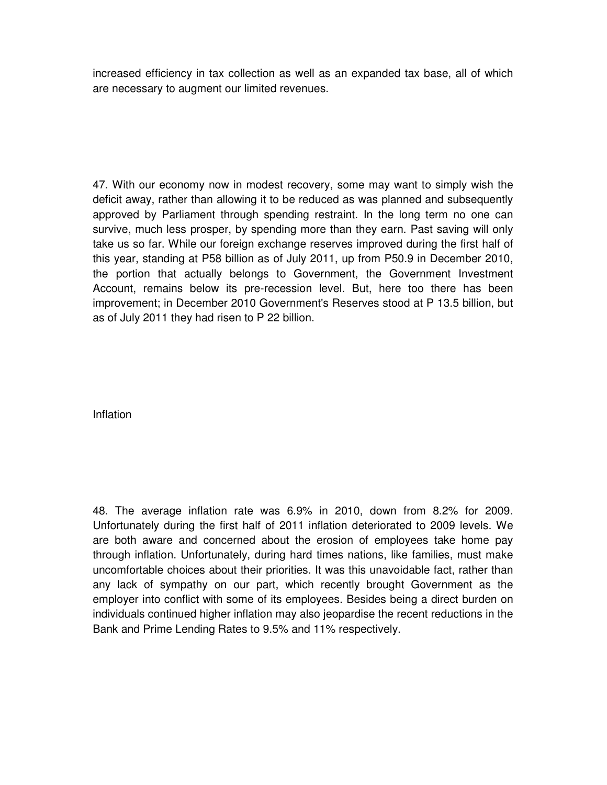increased efficiency in tax collection as well as an expanded tax base, all of which are necessary to augment our limited revenues.

47. With our economy now in modest recovery, some may want to simply wish the deficit away, rather than allowing it to be reduced as was planned and subsequently approved by Parliament through spending restraint. In the long term no one can survive, much less prosper, by spending more than they earn. Past saving will only take us so far. While our foreign exchange reserves improved during the first half of this year, standing at P58 billion as of July 2011, up from P50.9 in December 2010, the portion that actually belongs to Government, the Government Investment Account, remains below its pre-recession level. But, here too there has been improvement; in December 2010 Government's Reserves stood at P 13.5 billion, but as of July 2011 they had risen to P 22 billion.

Inflation

48. The average inflation rate was 6.9% in 2010, down from 8.2% for 2009. Unfortunately during the first half of 2011 inflation deteriorated to 2009 levels. We are both aware and concerned about the erosion of employees take home pay through inflation. Unfortunately, during hard times nations, like families, must make uncomfortable choices about their priorities. It was this unavoidable fact, rather than any lack of sympathy on our part, which recently brought Government as the employer into conflict with some of its employees. Besides being a direct burden on individuals continued higher inflation may also jeopardise the recent reductions in the Bank and Prime Lending Rates to 9.5% and 11% respectively.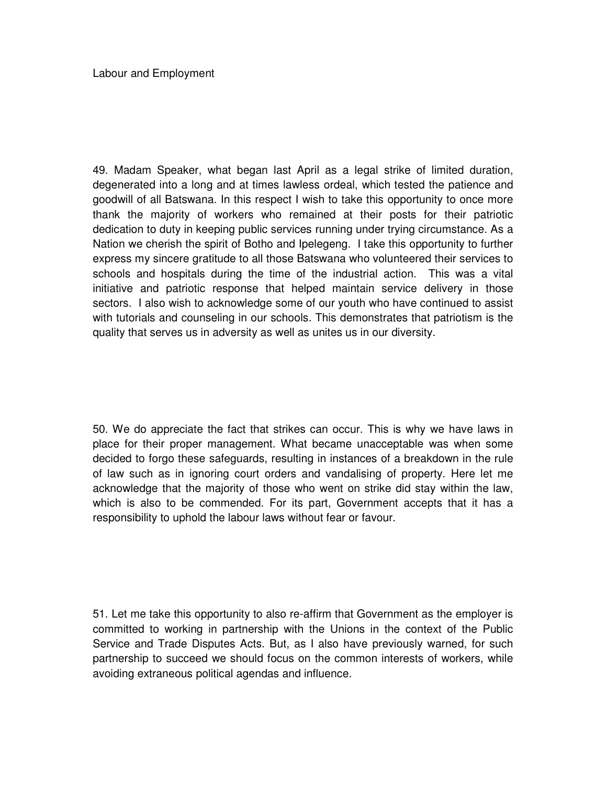49. Madam Speaker, what began last April as a legal strike of limited duration, degenerated into a long and at times lawless ordeal, which tested the patience and goodwill of all Batswana. In this respect I wish to take this opportunity to once more thank the majority of workers who remained at their posts for their patriotic dedication to duty in keeping public services running under trying circumstance. As a Nation we cherish the spirit of Botho and Ipelegeng. I take this opportunity to further express my sincere gratitude to all those Batswana who volunteered their services to schools and hospitals during the time of the industrial action. This was a vital initiative and patriotic response that helped maintain service delivery in those sectors. I also wish to acknowledge some of our youth who have continued to assist with tutorials and counseling in our schools. This demonstrates that patriotism is the quality that serves us in adversity as well as unites us in our diversity.

50. We do appreciate the fact that strikes can occur. This is why we have laws in place for their proper management. What became unacceptable was when some decided to forgo these safeguards, resulting in instances of a breakdown in the rule of law such as in ignoring court orders and vandalising of property. Here let me acknowledge that the majority of those who went on strike did stay within the law, which is also to be commended. For its part, Government accepts that it has a responsibility to uphold the labour laws without fear or favour.

51. Let me take this opportunity to also re-affirm that Government as the employer is committed to working in partnership with the Unions in the context of the Public Service and Trade Disputes Acts. But, as I also have previously warned, for such partnership to succeed we should focus on the common interests of workers, while avoiding extraneous political agendas and influence.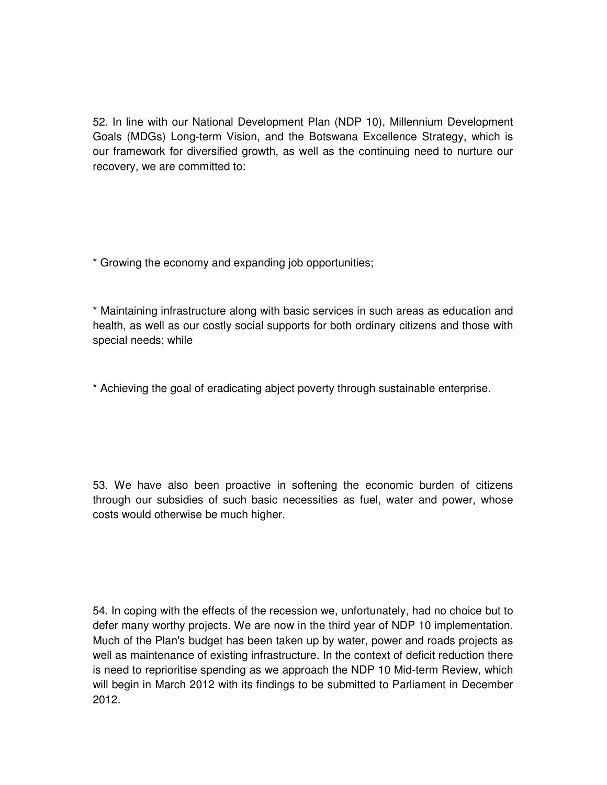52. In line with our National Development Plan (NDP 10), Millennium Development Goals (MDGs) Long-term Vision, and the Botswana Excellence Strategy, which is our framework for diversified growth, as well as the continuing need to nurture our recovery, we are committed to:

\* Growing the economy and expanding job opportunities;

\* Maintaining infrastructure along with basic services in such areas as education and health, as well as our costly social supports for both ordinary citizens and those with special needs; while

\* Achieving the goal of eradicating abject poverty through sustainable enterprise.

53. We have also been proactive in softening the economic burden of citizens through our subsidies of such basic necessities as fuel, water and power, whose costs would otherwise be much higher.

54. In coping with the effects of the recession we, unfortunately, had no choice but to defer many worthy projects. We are now in the third year of NDP 10 implementation. Much of the Plan's budget has been taken up by water, power and roads projects as well as maintenance of existing infrastructure. In the context of deficit reduction there is need to reprioritise spending as we approach the NDP 10 Mid-term Review, which will begin in March 2012 with its findings to be submitted to Parliament in December 2012.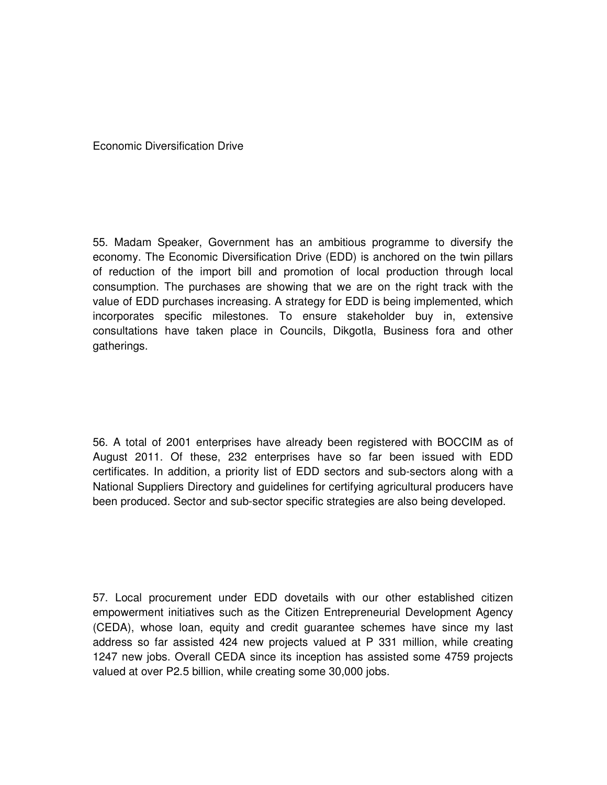Economic Diversification Drive

55. Madam Speaker, Government has an ambitious programme to diversify the economy. The Economic Diversification Drive (EDD) is anchored on the twin pillars of reduction of the import bill and promotion of local production through local consumption. The purchases are showing that we are on the right track with the value of EDD purchases increasing. A strategy for EDD is being implemented, which incorporates specific milestones. To ensure stakeholder buy in, extensive consultations have taken place in Councils, Dikgotla, Business fora and other gatherings.

56. A total of 2001 enterprises have already been registered with BOCCIM as of August 2011. Of these, 232 enterprises have so far been issued with EDD certificates. In addition, a priority list of EDD sectors and sub-sectors along with a National Suppliers Directory and guidelines for certifying agricultural producers have been produced. Sector and sub-sector specific strategies are also being developed.

57. Local procurement under EDD dovetails with our other established citizen empowerment initiatives such as the Citizen Entrepreneurial Development Agency (CEDA), whose loan, equity and credit guarantee schemes have since my last address so far assisted 424 new projects valued at P 331 million, while creating 1247 new jobs. Overall CEDA since its inception has assisted some 4759 projects valued at over P2.5 billion, while creating some 30,000 jobs.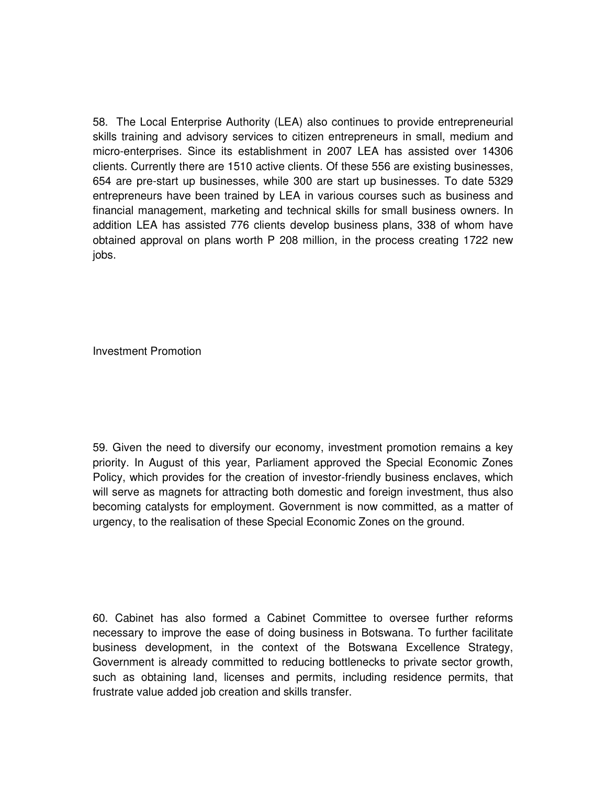58. The Local Enterprise Authority (LEA) also continues to provide entrepreneurial skills training and advisory services to citizen entrepreneurs in small, medium and micro-enterprises. Since its establishment in 2007 LEA has assisted over 14306 clients. Currently there are 1510 active clients. Of these 556 are existing businesses, 654 are pre-start up businesses, while 300 are start up businesses. To date 5329 entrepreneurs have been trained by LEA in various courses such as business and financial management, marketing and technical skills for small business owners. In addition LEA has assisted 776 clients develop business plans, 338 of whom have obtained approval on plans worth P 208 million, in the process creating 1722 new jobs.

Investment Promotion

59. Given the need to diversify our economy, investment promotion remains a key priority. In August of this year, Parliament approved the Special Economic Zones Policy, which provides for the creation of investor-friendly business enclaves, which will serve as magnets for attracting both domestic and foreign investment, thus also becoming catalysts for employment. Government is now committed, as a matter of urgency, to the realisation of these Special Economic Zones on the ground.

60. Cabinet has also formed a Cabinet Committee to oversee further reforms necessary to improve the ease of doing business in Botswana. To further facilitate business development, in the context of the Botswana Excellence Strategy, Government is already committed to reducing bottlenecks to private sector growth, such as obtaining land, licenses and permits, including residence permits, that frustrate value added job creation and skills transfer.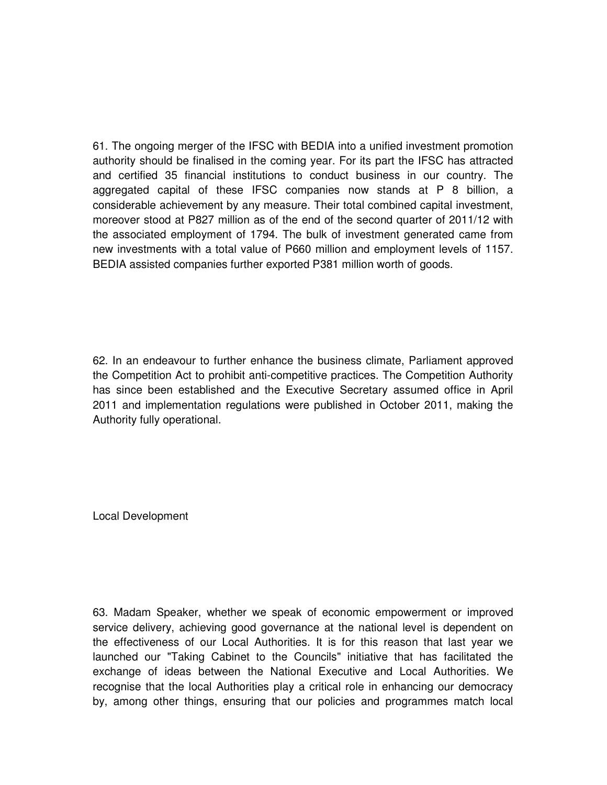61. The ongoing merger of the IFSC with BEDIA into a unified investment promotion authority should be finalised in the coming year. For its part the IFSC has attracted and certified 35 financial institutions to conduct business in our country. The aggregated capital of these IFSC companies now stands at P 8 billion, a considerable achievement by any measure. Their total combined capital investment, moreover stood at P827 million as of the end of the second quarter of 2011/12 with the associated employment of 1794. The bulk of investment generated came from new investments with a total value of P660 million and employment levels of 1157. BEDIA assisted companies further exported P381 million worth of goods.

62. In an endeavour to further enhance the business climate, Parliament approved the Competition Act to prohibit anti-competitive practices. The Competition Authority has since been established and the Executive Secretary assumed office in April 2011 and implementation regulations were published in October 2011, making the Authority fully operational.

Local Development

63. Madam Speaker, whether we speak of economic empowerment or improved service delivery, achieving good governance at the national level is dependent on the effectiveness of our Local Authorities. It is for this reason that last year we launched our "Taking Cabinet to the Councils" initiative that has facilitated the exchange of ideas between the National Executive and Local Authorities. We recognise that the local Authorities play a critical role in enhancing our democracy by, among other things, ensuring that our policies and programmes match local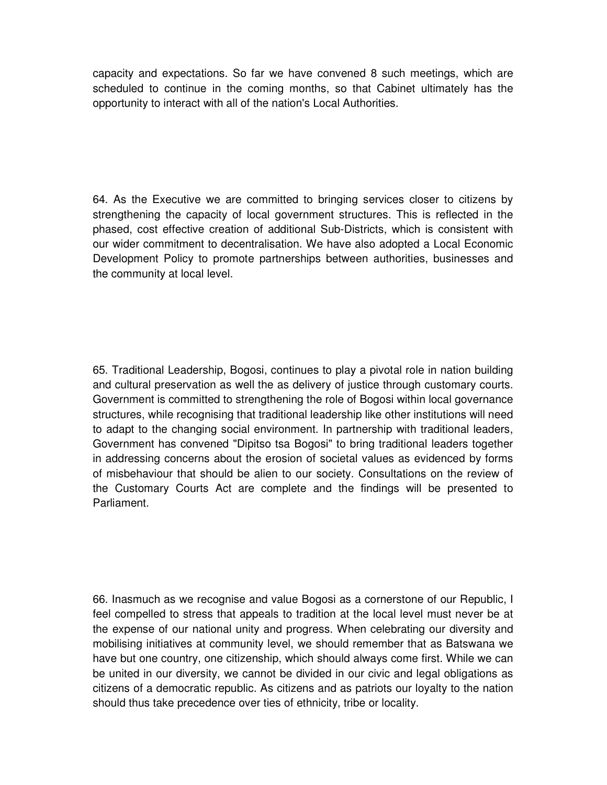capacity and expectations. So far we have convened 8 such meetings, which are scheduled to continue in the coming months, so that Cabinet ultimately has the opportunity to interact with all of the nation's Local Authorities.

64. As the Executive we are committed to bringing services closer to citizens by strengthening the capacity of local government structures. This is reflected in the phased, cost effective creation of additional Sub-Districts, which is consistent with our wider commitment to decentralisation. We have also adopted a Local Economic Development Policy to promote partnerships between authorities, businesses and the community at local level.

65. Traditional Leadership, Bogosi, continues to play a pivotal role in nation building and cultural preservation as well the as delivery of justice through customary courts. Government is committed to strengthening the role of Bogosi within local governance structures, while recognising that traditional leadership like other institutions will need to adapt to the changing social environment. In partnership with traditional leaders, Government has convened "Dipitso tsa Bogosi" to bring traditional leaders together in addressing concerns about the erosion of societal values as evidenced by forms of misbehaviour that should be alien to our society. Consultations on the review of the Customary Courts Act are complete and the findings will be presented to Parliament.

66. Inasmuch as we recognise and value Bogosi as a cornerstone of our Republic, I feel compelled to stress that appeals to tradition at the local level must never be at the expense of our national unity and progress. When celebrating our diversity and mobilising initiatives at community level, we should remember that as Batswana we have but one country, one citizenship, which should always come first. While we can be united in our diversity, we cannot be divided in our civic and legal obligations as citizens of a democratic republic. As citizens and as patriots our loyalty to the nation should thus take precedence over ties of ethnicity, tribe or locality.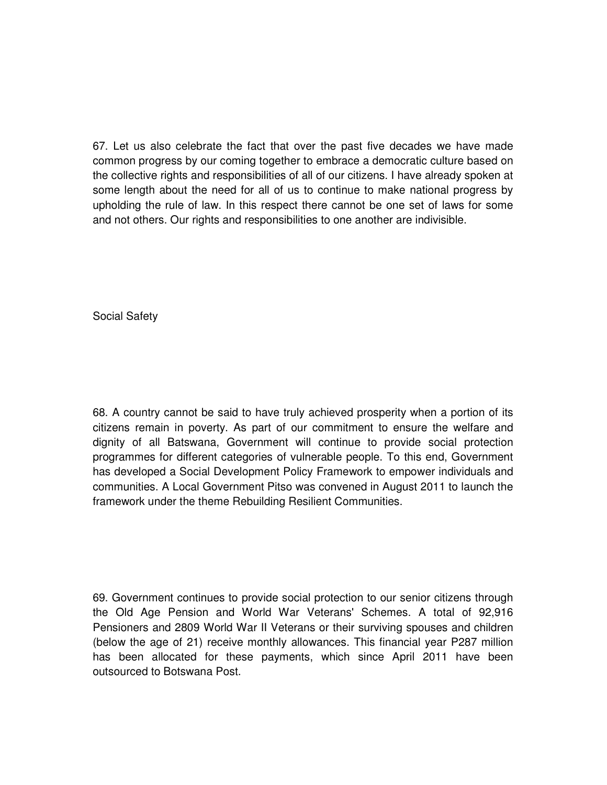67. Let us also celebrate the fact that over the past five decades we have made common progress by our coming together to embrace a democratic culture based on the collective rights and responsibilities of all of our citizens. I have already spoken at some length about the need for all of us to continue to make national progress by upholding the rule of law. In this respect there cannot be one set of laws for some and not others. Our rights and responsibilities to one another are indivisible.

Social Safety

68. A country cannot be said to have truly achieved prosperity when a portion of its citizens remain in poverty. As part of our commitment to ensure the welfare and dignity of all Batswana, Government will continue to provide social protection programmes for different categories of vulnerable people. To this end, Government has developed a Social Development Policy Framework to empower individuals and communities. A Local Government Pitso was convened in August 2011 to launch the framework under the theme Rebuilding Resilient Communities.

69. Government continues to provide social protection to our senior citizens through the Old Age Pension and World War Veterans' Schemes. A total of 92,916 Pensioners and 2809 World War II Veterans or their surviving spouses and children (below the age of 21) receive monthly allowances. This financial year P287 million has been allocated for these payments, which since April 2011 have been outsourced to Botswana Post.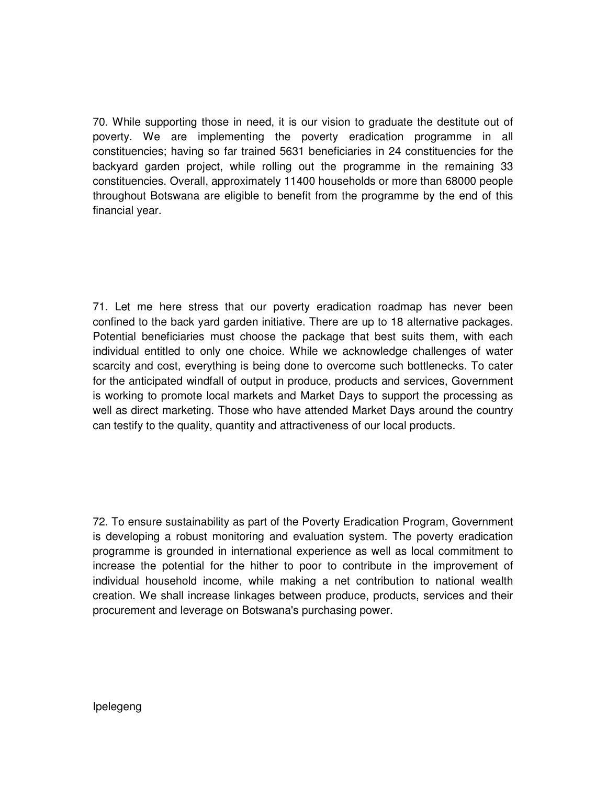70. While supporting those in need, it is our vision to graduate the destitute out of poverty. We are implementing the poverty eradication programme in all constituencies; having so far trained 5631 beneficiaries in 24 constituencies for the backyard garden project, while rolling out the programme in the remaining 33 constituencies. Overall, approximately 11400 households or more than 68000 people throughout Botswana are eligible to benefit from the programme by the end of this financial year.

71. Let me here stress that our poverty eradication roadmap has never been confined to the back yard garden initiative. There are up to 18 alternative packages. Potential beneficiaries must choose the package that best suits them, with each individual entitled to only one choice. While we acknowledge challenges of water scarcity and cost, everything is being done to overcome such bottlenecks. To cater for the anticipated windfall of output in produce, products and services, Government is working to promote local markets and Market Days to support the processing as well as direct marketing. Those who have attended Market Days around the country can testify to the quality, quantity and attractiveness of our local products.

72. To ensure sustainability as part of the Poverty Eradication Program, Government is developing a robust monitoring and evaluation system. The poverty eradication programme is grounded in international experience as well as local commitment to increase the potential for the hither to poor to contribute in the improvement of individual household income, while making a net contribution to national wealth creation. We shall increase linkages between produce, products, services and their procurement and leverage on Botswana's purchasing power.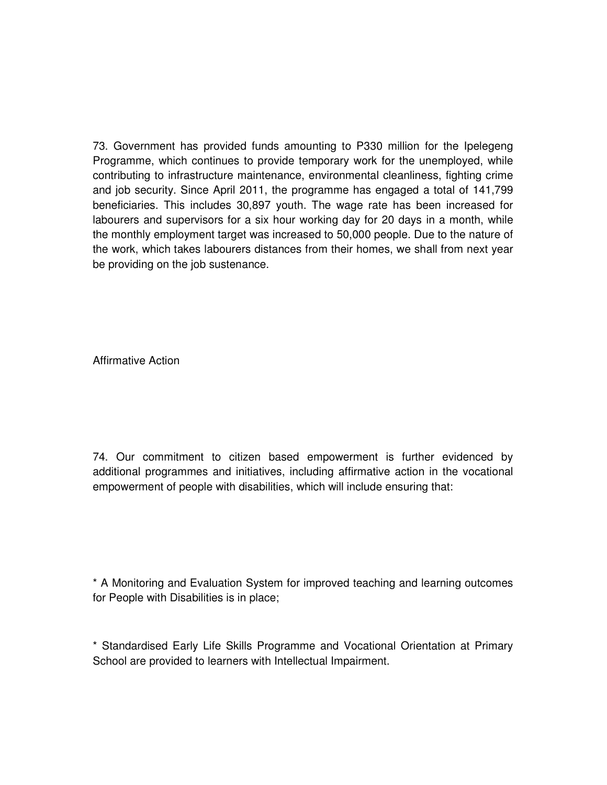73. Government has provided funds amounting to P330 million for the Ipelegeng Programme, which continues to provide temporary work for the unemployed, while contributing to infrastructure maintenance, environmental cleanliness, fighting crime and job security. Since April 2011, the programme has engaged a total of 141,799 beneficiaries. This includes 30,897 youth. The wage rate has been increased for labourers and supervisors for a six hour working day for 20 days in a month, while the monthly employment target was increased to 50,000 people. Due to the nature of the work, which takes labourers distances from their homes, we shall from next year be providing on the job sustenance.

Affirmative Action

74. Our commitment to citizen based empowerment is further evidenced by additional programmes and initiatives, including affirmative action in the vocational empowerment of people with disabilities, which will include ensuring that:

\* A Monitoring and Evaluation System for improved teaching and learning outcomes for People with Disabilities is in place;

\* Standardised Early Life Skills Programme and Vocational Orientation at Primary School are provided to learners with Intellectual Impairment.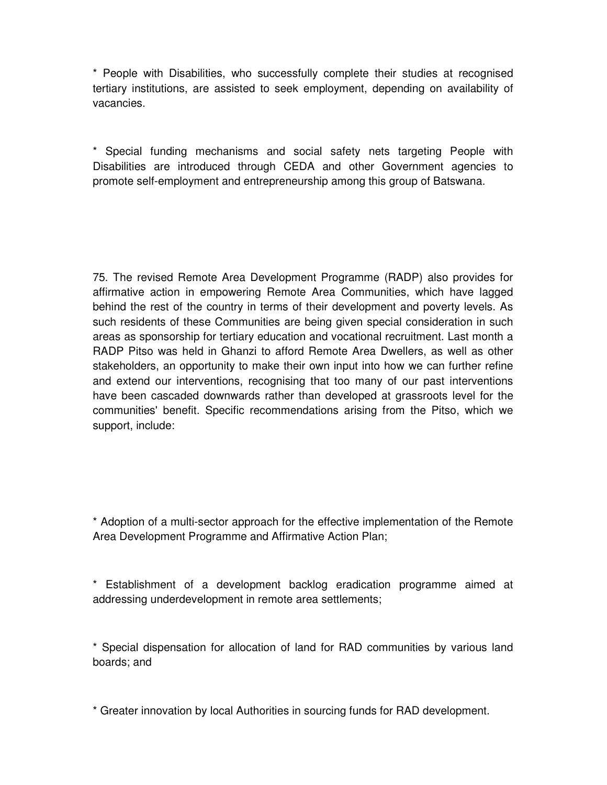\* People with Disabilities, who successfully complete their studies at recognised tertiary institutions, are assisted to seek employment, depending on availability of vacancies.

\* Special funding mechanisms and social safety nets targeting People with Disabilities are introduced through CEDA and other Government agencies to promote self-employment and entrepreneurship among this group of Batswana.

75. The revised Remote Area Development Programme (RADP) also provides for affirmative action in empowering Remote Area Communities, which have lagged behind the rest of the country in terms of their development and poverty levels. As such residents of these Communities are being given special consideration in such areas as sponsorship for tertiary education and vocational recruitment. Last month a RADP Pitso was held in Ghanzi to afford Remote Area Dwellers, as well as other stakeholders, an opportunity to make their own input into how we can further refine and extend our interventions, recognising that too many of our past interventions have been cascaded downwards rather than developed at grassroots level for the communities' benefit. Specific recommendations arising from the Pitso, which we support, include:

\* Adoption of a multi-sector approach for the effective implementation of the Remote Area Development Programme and Affirmative Action Plan;

\* Establishment of a development backlog eradication programme aimed at addressing underdevelopment in remote area settlements;

\* Special dispensation for allocation of land for RAD communities by various land boards; and

\* Greater innovation by local Authorities in sourcing funds for RAD development.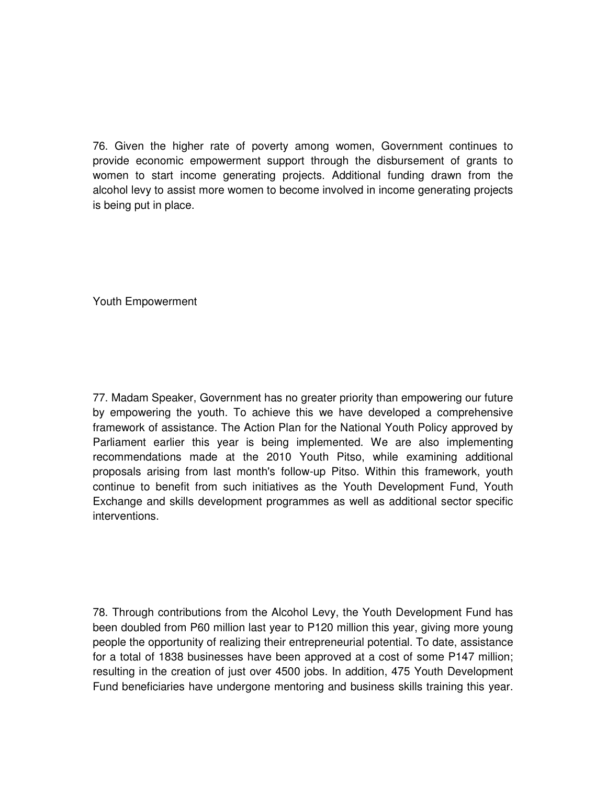76. Given the higher rate of poverty among women, Government continues to provide economic empowerment support through the disbursement of grants to women to start income generating projects. Additional funding drawn from the alcohol levy to assist more women to become involved in income generating projects is being put in place.

Youth Empowerment

77. Madam Speaker, Government has no greater priority than empowering our future by empowering the youth. To achieve this we have developed a comprehensive framework of assistance. The Action Plan for the National Youth Policy approved by Parliament earlier this year is being implemented. We are also implementing recommendations made at the 2010 Youth Pitso, while examining additional proposals arising from last month's follow-up Pitso. Within this framework, youth continue to benefit from such initiatives as the Youth Development Fund, Youth Exchange and skills development programmes as well as additional sector specific interventions.

78. Through contributions from the Alcohol Levy, the Youth Development Fund has been doubled from P60 million last year to P120 million this year, giving more young people the opportunity of realizing their entrepreneurial potential. To date, assistance for a total of 1838 businesses have been approved at a cost of some P147 million; resulting in the creation of just over 4500 jobs. In addition, 475 Youth Development Fund beneficiaries have undergone mentoring and business skills training this year.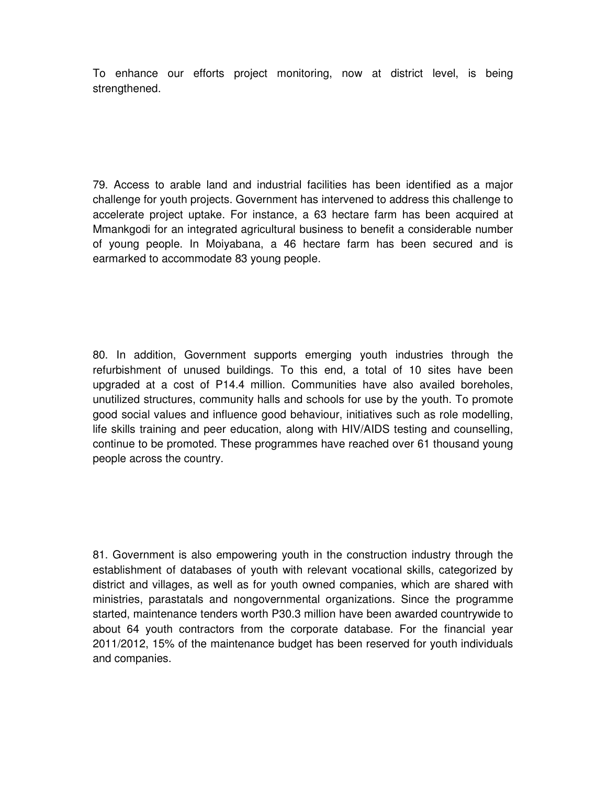To enhance our efforts project monitoring, now at district level, is being strengthened.

79. Access to arable land and industrial facilities has been identified as a major challenge for youth projects. Government has intervened to address this challenge to accelerate project uptake. For instance, a 63 hectare farm has been acquired at Mmankgodi for an integrated agricultural business to benefit a considerable number of young people. In Moiyabana, a 46 hectare farm has been secured and is earmarked to accommodate 83 young people.

80. In addition, Government supports emerging youth industries through the refurbishment of unused buildings. To this end, a total of 10 sites have been upgraded at a cost of P14.4 million. Communities have also availed boreholes, unutilized structures, community halls and schools for use by the youth. To promote good social values and influence good behaviour, initiatives such as role modelling, life skills training and peer education, along with HIV/AIDS testing and counselling, continue to be promoted. These programmes have reached over 61 thousand young people across the country.

81. Government is also empowering youth in the construction industry through the establishment of databases of youth with relevant vocational skills, categorized by district and villages, as well as for youth owned companies, which are shared with ministries, parastatals and nongovernmental organizations. Since the programme started, maintenance tenders worth P30.3 million have been awarded countrywide to about 64 youth contractors from the corporate database. For the financial year 2011/2012, 15% of the maintenance budget has been reserved for youth individuals and companies.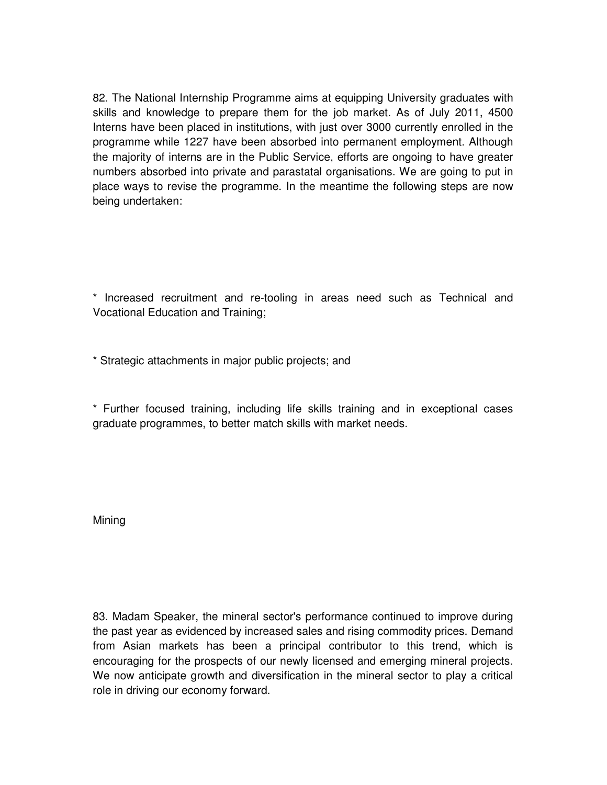82. The National Internship Programme aims at equipping University graduates with skills and knowledge to prepare them for the job market. As of July 2011, 4500 Interns have been placed in institutions, with just over 3000 currently enrolled in the programme while 1227 have been absorbed into permanent employment. Although the majority of interns are in the Public Service, efforts are ongoing to have greater numbers absorbed into private and parastatal organisations. We are going to put in place ways to revise the programme. In the meantime the following steps are now being undertaken:

\* Increased recruitment and re-tooling in areas need such as Technical and Vocational Education and Training;

\* Strategic attachments in major public projects; and

\* Further focused training, including life skills training and in exceptional cases graduate programmes, to better match skills with market needs.

Mining

83. Madam Speaker, the mineral sector's performance continued to improve during the past year as evidenced by increased sales and rising commodity prices. Demand from Asian markets has been a principal contributor to this trend, which is encouraging for the prospects of our newly licensed and emerging mineral projects. We now anticipate growth and diversification in the mineral sector to play a critical role in driving our economy forward.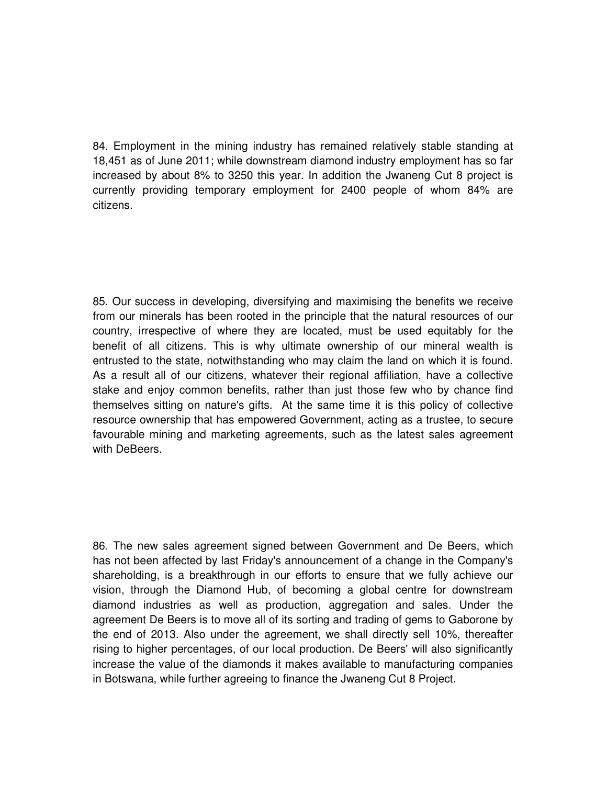84. Employment in the mining industry has remained relatively stable standing at 18,451 as of June 2011; while downstream diamond industry employment has so far increased by about 8% to 3250 this year. In addition the Jwaneng Cut 8 project is currently providing temporary employment for 2400 people of whom 84% are citizens.

85. Our success in developing, diversifying and maximising the benefits we receive from our minerals has been rooted in the principle that the natural resources of our country, irrespective of where they are located, must be used equitably for the benefit of all citizens. This is why ultimate ownership of our mineral wealth is entrusted to the state, notwithstanding who may claim the land on which it is found. As a result all of our citizens, whatever their regional affiliation, have a collective stake and enjoy common benefits, rather than just those few who by chance find themselves sitting on nature's gifts. At the same time it is this policy of collective resource ownership that has empowered Government, acting as a trustee, to secure favourable mining and marketing agreements, such as the latest sales agreement with DeBeers.

86. The new sales agreement signed between Government and De Beers, which has not been affected by last Friday's announcement of a change in the Company's shareholding, is a breakthrough in our efforts to ensure that we fully achieve our vision, through the Diamond Hub, of becoming a global centre for downstream diamond industries as well as production, aggregation and sales. Under the agreement De Beers is to move all of its sorting and trading of gems to Gaborone by the end of 2013. Also under the agreement, we shall directly sell 10%, thereafter rising to higher percentages, of our local production. De Beers' will also significantly increase the value of the diamonds it makes available to manufacturing companies in Botswana, while further agreeing to finance the Jwaneng Cut 8 Project.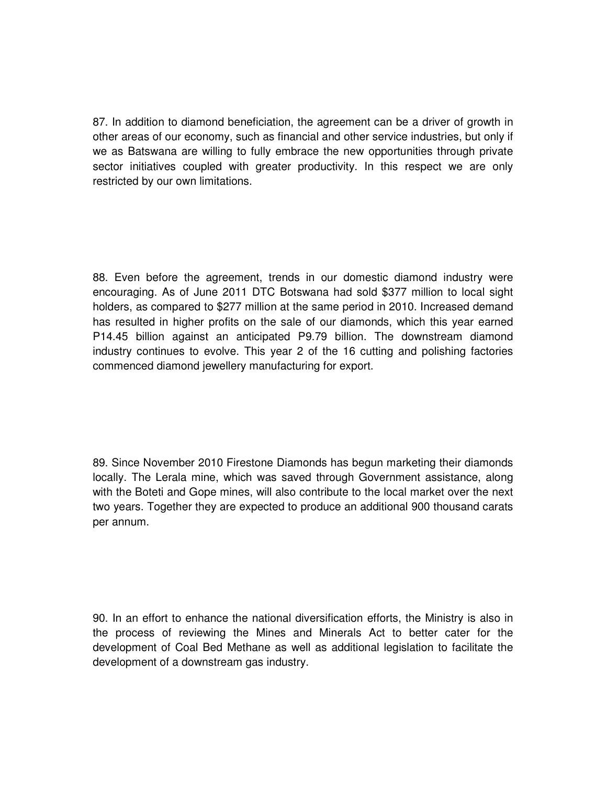87. In addition to diamond beneficiation, the agreement can be a driver of growth in other areas of our economy, such as financial and other service industries, but only if we as Batswana are willing to fully embrace the new opportunities through private sector initiatives coupled with greater productivity. In this respect we are only restricted by our own limitations.

88. Even before the agreement, trends in our domestic diamond industry were encouraging. As of June 2011 DTC Botswana had sold \$377 million to local sight holders, as compared to \$277 million at the same period in 2010. Increased demand has resulted in higher profits on the sale of our diamonds, which this year earned P14.45 billion against an anticipated P9.79 billion. The downstream diamond industry continues to evolve. This year 2 of the 16 cutting and polishing factories commenced diamond jewellery manufacturing for export.

89. Since November 2010 Firestone Diamonds has begun marketing their diamonds locally. The Lerala mine, which was saved through Government assistance, along with the Boteti and Gope mines, will also contribute to the local market over the next two years. Together they are expected to produce an additional 900 thousand carats per annum.

90. In an effort to enhance the national diversification efforts, the Ministry is also in the process of reviewing the Mines and Minerals Act to better cater for the development of Coal Bed Methane as well as additional legislation to facilitate the development of a downstream gas industry.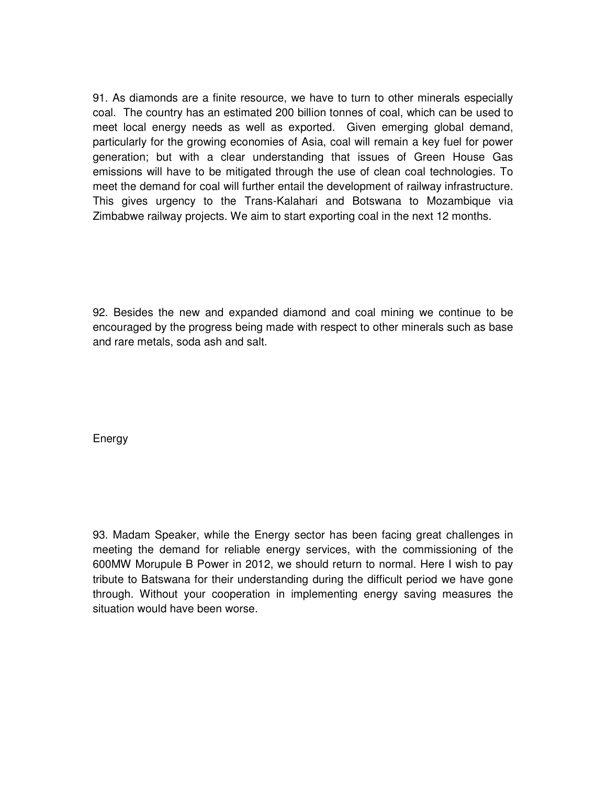91. As diamonds are a finite resource, we have to turn to other minerals especially coal. The country has an estimated 200 billion tonnes of coal, which can be used to meet local energy needs as well as exported. Given emerging global demand, particularly for the growing economies of Asia, coal will remain a key fuel for power generation; but with a clear understanding that issues of Green House Gas emissions will have to be mitigated through the use of clean coal technologies. To meet the demand for coal will further entail the development of railway infrastructure. This gives urgency to the Trans-Kalahari and Botswana to Mozambique via Zimbabwe railway projects. We aim to start exporting coal in the next 12 months.

92. Besides the new and expanded diamond and coal mining we continue to be encouraged by the progress being made with respect to other minerals such as base and rare metals, soda ash and salt.

Energy

93. Madam Speaker, while the Energy sector has been facing great challenges in meeting the demand for reliable energy services, with the commissioning of the 600MW Morupule B Power in 2012, we should return to normal. Here I wish to pay tribute to Batswana for their understanding during the difficult period we have gone through. Without your cooperation in implementing energy saving measures the situation would have been worse.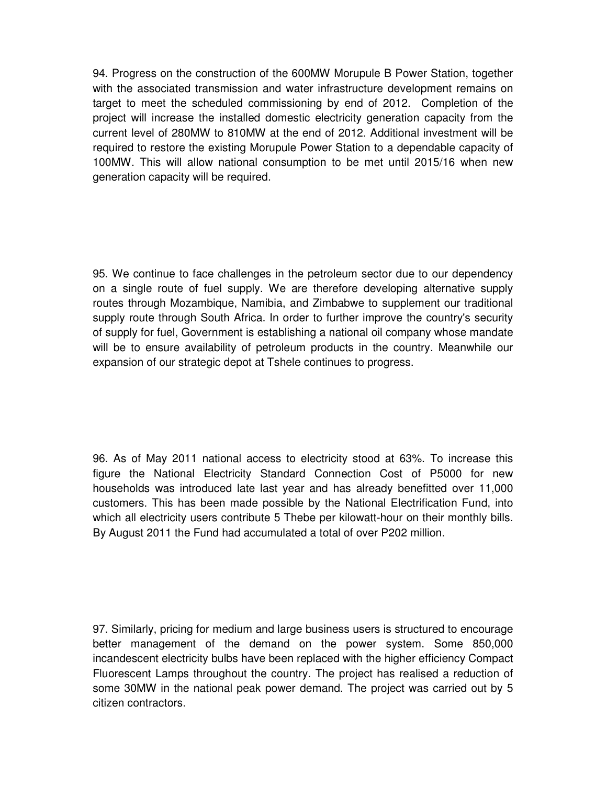94. Progress on the construction of the 600MW Morupule B Power Station, together with the associated transmission and water infrastructure development remains on target to meet the scheduled commissioning by end of 2012. Completion of the project will increase the installed domestic electricity generation capacity from the current level of 280MW to 810MW at the end of 2012. Additional investment will be required to restore the existing Morupule Power Station to a dependable capacity of 100MW. This will allow national consumption to be met until 2015/16 when new generation capacity will be required.

95. We continue to face challenges in the petroleum sector due to our dependency on a single route of fuel supply. We are therefore developing alternative supply routes through Mozambique, Namibia, and Zimbabwe to supplement our traditional supply route through South Africa. In order to further improve the country's security of supply for fuel, Government is establishing a national oil company whose mandate will be to ensure availability of petroleum products in the country. Meanwhile our expansion of our strategic depot at Tshele continues to progress.

96. As of May 2011 national access to electricity stood at 63%. To increase this figure the National Electricity Standard Connection Cost of P5000 for new households was introduced late last year and has already benefitted over 11,000 customers. This has been made possible by the National Electrification Fund, into which all electricity users contribute 5 Thebe per kilowatt-hour on their monthly bills. By August 2011 the Fund had accumulated a total of over P202 million.

97. Similarly, pricing for medium and large business users is structured to encourage better management of the demand on the power system. Some 850,000 incandescent electricity bulbs have been replaced with the higher efficiency Compact Fluorescent Lamps throughout the country. The project has realised a reduction of some 30MW in the national peak power demand. The project was carried out by 5 citizen contractors.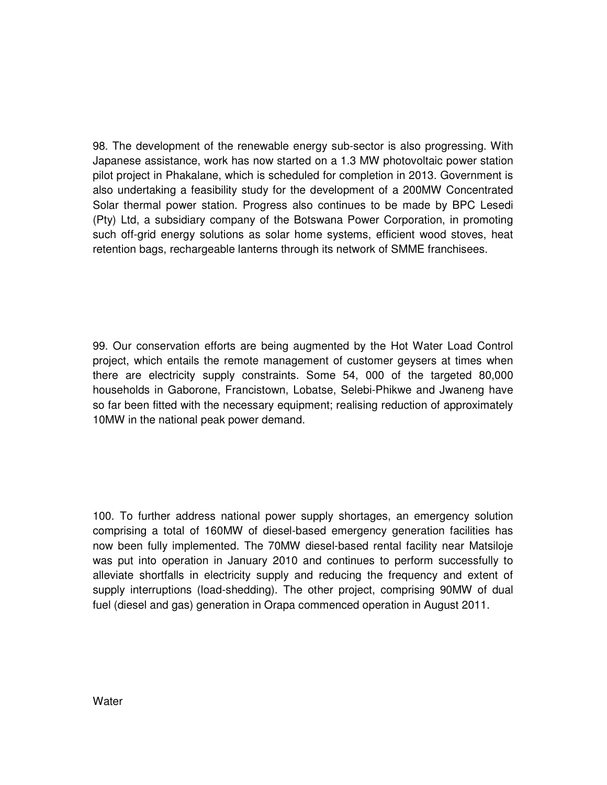98. The development of the renewable energy sub-sector is also progressing. With Japanese assistance, work has now started on a 1.3 MW photovoltaic power station pilot project in Phakalane, which is scheduled for completion in 2013. Government is also undertaking a feasibility study for the development of a 200MW Concentrated Solar thermal power station. Progress also continues to be made by BPC Lesedi (Pty) Ltd, a subsidiary company of the Botswana Power Corporation, in promoting such off-grid energy solutions as solar home systems, efficient wood stoves, heat retention bags, rechargeable lanterns through its network of SMME franchisees.

99. Our conservation efforts are being augmented by the Hot Water Load Control project, which entails the remote management of customer geysers at times when there are electricity supply constraints. Some 54, 000 of the targeted 80,000 households in Gaborone, Francistown, Lobatse, Selebi-Phikwe and Jwaneng have so far been fitted with the necessary equipment; realising reduction of approximately 10MW in the national peak power demand.

100. To further address national power supply shortages, an emergency solution comprising a total of 160MW of diesel-based emergency generation facilities has now been fully implemented. The 70MW diesel-based rental facility near Matsiloje was put into operation in January 2010 and continues to perform successfully to alleviate shortfalls in electricity supply and reducing the frequency and extent of supply interruptions (load-shedding). The other project, comprising 90MW of dual fuel (diesel and gas) generation in Orapa commenced operation in August 2011.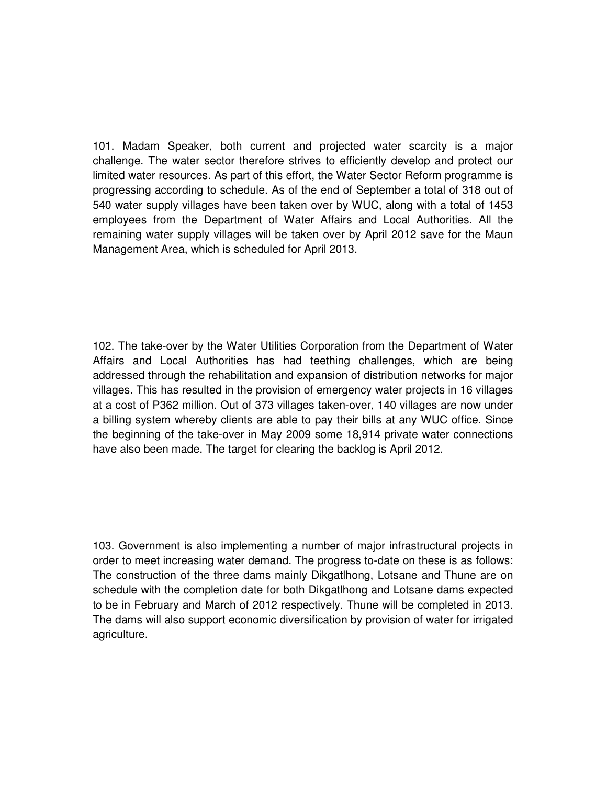101. Madam Speaker, both current and projected water scarcity is a major challenge. The water sector therefore strives to efficiently develop and protect our limited water resources. As part of this effort, the Water Sector Reform programme is progressing according to schedule. As of the end of September a total of 318 out of 540 water supply villages have been taken over by WUC, along with a total of 1453 employees from the Department of Water Affairs and Local Authorities. All the remaining water supply villages will be taken over by April 2012 save for the Maun Management Area, which is scheduled for April 2013.

102. The take-over by the Water Utilities Corporation from the Department of Water Affairs and Local Authorities has had teething challenges, which are being addressed through the rehabilitation and expansion of distribution networks for major villages. This has resulted in the provision of emergency water projects in 16 villages at a cost of P362 million. Out of 373 villages taken-over, 140 villages are now under a billing system whereby clients are able to pay their bills at any WUC office. Since the beginning of the take-over in May 2009 some 18,914 private water connections have also been made. The target for clearing the backlog is April 2012.

103. Government is also implementing a number of major infrastructural projects in order to meet increasing water demand. The progress to-date on these is as follows: The construction of the three dams mainly Dikgatlhong, Lotsane and Thune are on schedule with the completion date for both Dikgatlhong and Lotsane dams expected to be in February and March of 2012 respectively. Thune will be completed in 2013. The dams will also support economic diversification by provision of water for irrigated agriculture.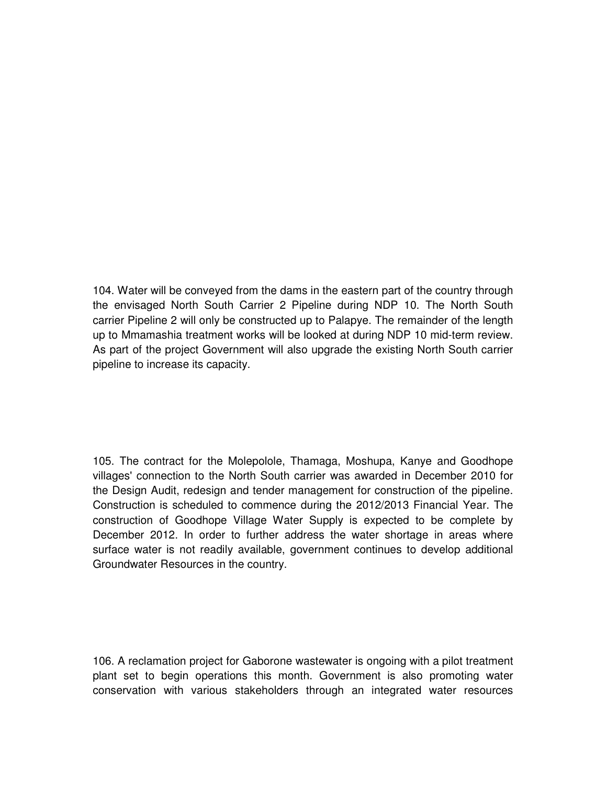104. Water will be conveyed from the dams in the eastern part of the country through the envisaged North South Carrier 2 Pipeline during NDP 10. The North South carrier Pipeline 2 will only be constructed up to Palapye. The remainder of the length up to Mmamashia treatment works will be looked at during NDP 10 mid-term review. As part of the project Government will also upgrade the existing North South carrier pipeline to increase its capacity.

105. The contract for the Molepolole, Thamaga, Moshupa, Kanye and Goodhope villages' connection to the North South carrier was awarded in December 2010 for the Design Audit, redesign and tender management for construction of the pipeline. Construction is scheduled to commence during the 2012/2013 Financial Year. The construction of Goodhope Village Water Supply is expected to be complete by December 2012. In order to further address the water shortage in areas where surface water is not readily available, government continues to develop additional Groundwater Resources in the country.

106. A reclamation project for Gaborone wastewater is ongoing with a pilot treatment plant set to begin operations this month. Government is also promoting water conservation with various stakeholders through an integrated water resources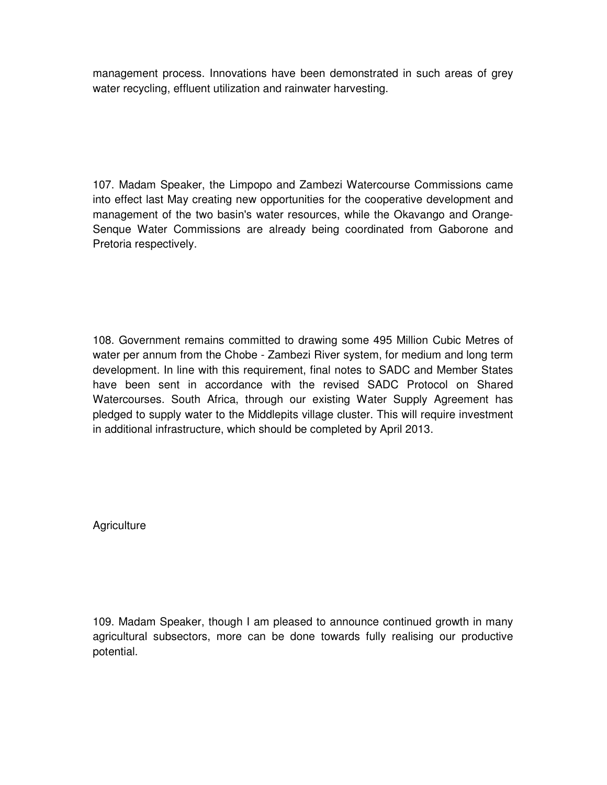management process. Innovations have been demonstrated in such areas of grey water recycling, effluent utilization and rainwater harvesting.

107. Madam Speaker, the Limpopo and Zambezi Watercourse Commissions came into effect last May creating new opportunities for the cooperative development and management of the two basin's water resources, while the Okavango and Orange-Senque Water Commissions are already being coordinated from Gaborone and Pretoria respectively.

108. Government remains committed to drawing some 495 Million Cubic Metres of water per annum from the Chobe - Zambezi River system, for medium and long term development. In line with this requirement, final notes to SADC and Member States have been sent in accordance with the revised SADC Protocol on Shared Watercourses. South Africa, through our existing Water Supply Agreement has pledged to supply water to the Middlepits village cluster. This will require investment in additional infrastructure, which should be completed by April 2013.

**Agriculture** 

109. Madam Speaker, though I am pleased to announce continued growth in many agricultural subsectors, more can be done towards fully realising our productive potential.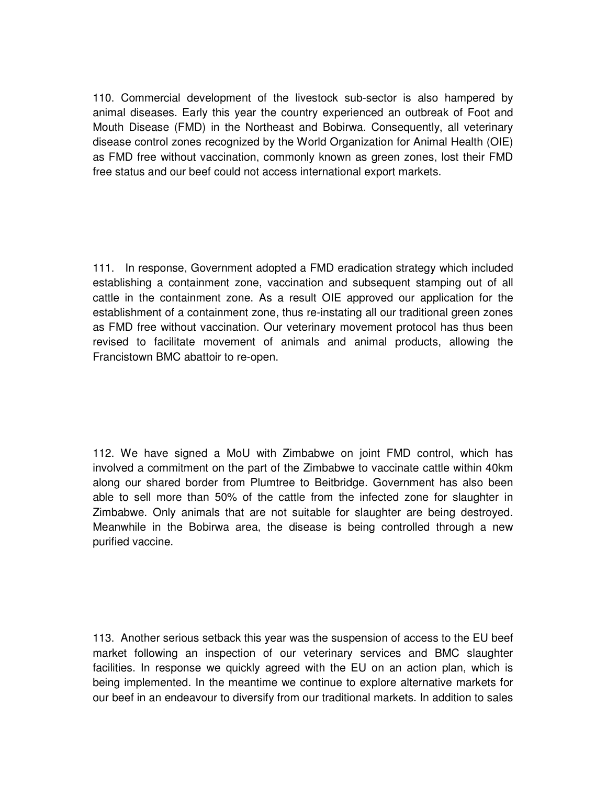110. Commercial development of the livestock sub-sector is also hampered by animal diseases. Early this year the country experienced an outbreak of Foot and Mouth Disease (FMD) in the Northeast and Bobirwa. Consequently, all veterinary disease control zones recognized by the World Organization for Animal Health (OIE) as FMD free without vaccination, commonly known as green zones, lost their FMD free status and our beef could not access international export markets.

111. In response, Government adopted a FMD eradication strategy which included establishing a containment zone, vaccination and subsequent stamping out of all cattle in the containment zone. As a result OIE approved our application for the establishment of a containment zone, thus re-instating all our traditional green zones as FMD free without vaccination. Our veterinary movement protocol has thus been revised to facilitate movement of animals and animal products, allowing the Francistown BMC abattoir to re-open.

112. We have signed a MoU with Zimbabwe on joint FMD control, which has involved a commitment on the part of the Zimbabwe to vaccinate cattle within 40km along our shared border from Plumtree to Beitbridge. Government has also been able to sell more than 50% of the cattle from the infected zone for slaughter in Zimbabwe. Only animals that are not suitable for slaughter are being destroyed. Meanwhile in the Bobirwa area, the disease is being controlled through a new purified vaccine.

113. Another serious setback this year was the suspension of access to the EU beef market following an inspection of our veterinary services and BMC slaughter facilities. In response we quickly agreed with the EU on an action plan, which is being implemented. In the meantime we continue to explore alternative markets for our beef in an endeavour to diversify from our traditional markets. In addition to sales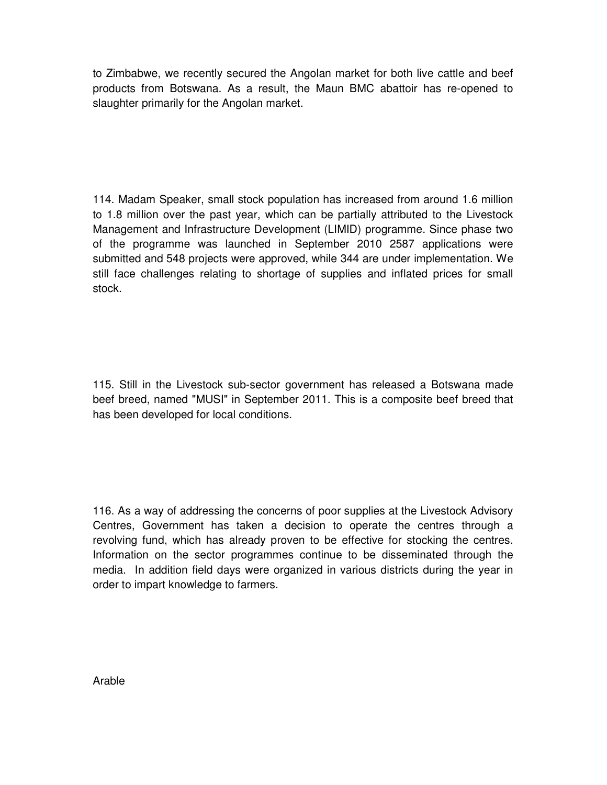to Zimbabwe, we recently secured the Angolan market for both live cattle and beef products from Botswana. As a result, the Maun BMC abattoir has re-opened to slaughter primarily for the Angolan market.

114. Madam Speaker, small stock population has increased from around 1.6 million to 1.8 million over the past year, which can be partially attributed to the Livestock Management and Infrastructure Development (LIMID) programme. Since phase two of the programme was launched in September 2010 2587 applications were submitted and 548 projects were approved, while 344 are under implementation. We still face challenges relating to shortage of supplies and inflated prices for small stock.

115. Still in the Livestock sub-sector government has released a Botswana made beef breed, named "MUSI" in September 2011. This is a composite beef breed that has been developed for local conditions.

116. As a way of addressing the concerns of poor supplies at the Livestock Advisory Centres, Government has taken a decision to operate the centres through a revolving fund, which has already proven to be effective for stocking the centres. Information on the sector programmes continue to be disseminated through the media. In addition field days were organized in various districts during the year in order to impart knowledge to farmers.

Arable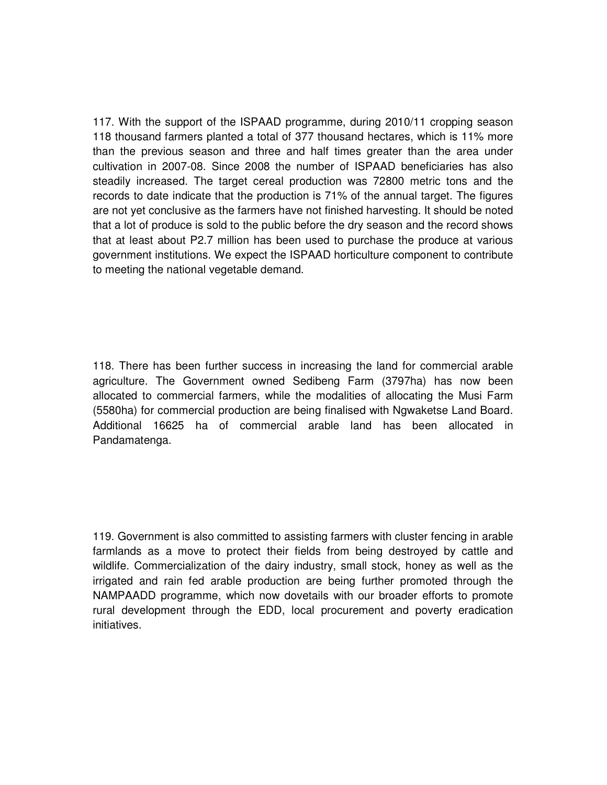117. With the support of the ISPAAD programme, during 2010/11 cropping season 118 thousand farmers planted a total of 377 thousand hectares, which is 11% more than the previous season and three and half times greater than the area under cultivation in 2007-08. Since 2008 the number of ISPAAD beneficiaries has also steadily increased. The target cereal production was 72800 metric tons and the records to date indicate that the production is 71% of the annual target. The figures are not yet conclusive as the farmers have not finished harvesting. It should be noted that a lot of produce is sold to the public before the dry season and the record shows that at least about P2.7 million has been used to purchase the produce at various government institutions. We expect the ISPAAD horticulture component to contribute to meeting the national vegetable demand.

118. There has been further success in increasing the land for commercial arable agriculture. The Government owned Sedibeng Farm (3797ha) has now been allocated to commercial farmers, while the modalities of allocating the Musi Farm (5580ha) for commercial production are being finalised with Ngwaketse Land Board. Additional 16625 ha of commercial arable land has been allocated in Pandamatenga.

119. Government is also committed to assisting farmers with cluster fencing in arable farmlands as a move to protect their fields from being destroyed by cattle and wildlife. Commercialization of the dairy industry, small stock, honey as well as the irrigated and rain fed arable production are being further promoted through the NAMPAADD programme, which now dovetails with our broader efforts to promote rural development through the EDD, local procurement and poverty eradication initiatives.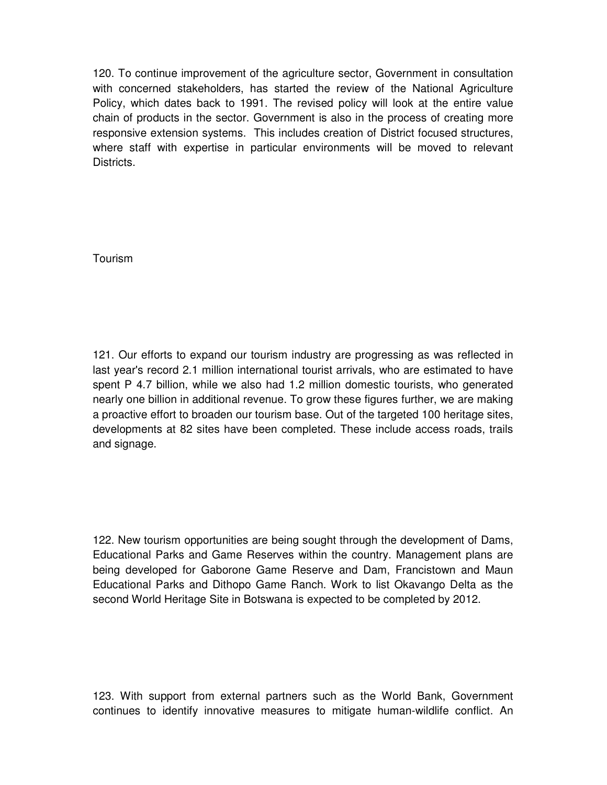120. To continue improvement of the agriculture sector, Government in consultation with concerned stakeholders, has started the review of the National Agriculture Policy, which dates back to 1991. The revised policy will look at the entire value chain of products in the sector. Government is also in the process of creating more responsive extension systems. This includes creation of District focused structures, where staff with expertise in particular environments will be moved to relevant Districts.

Tourism

121. Our efforts to expand our tourism industry are progressing as was reflected in last year's record 2.1 million international tourist arrivals, who are estimated to have spent P 4.7 billion, while we also had 1.2 million domestic tourists, who generated nearly one billion in additional revenue. To grow these figures further, we are making a proactive effort to broaden our tourism base. Out of the targeted 100 heritage sites, developments at 82 sites have been completed. These include access roads, trails and signage.

122. New tourism opportunities are being sought through the development of Dams, Educational Parks and Game Reserves within the country. Management plans are being developed for Gaborone Game Reserve and Dam, Francistown and Maun Educational Parks and Dithopo Game Ranch. Work to list Okavango Delta as the second World Heritage Site in Botswana is expected to be completed by 2012.

123. With support from external partners such as the World Bank, Government continues to identify innovative measures to mitigate human-wildlife conflict. An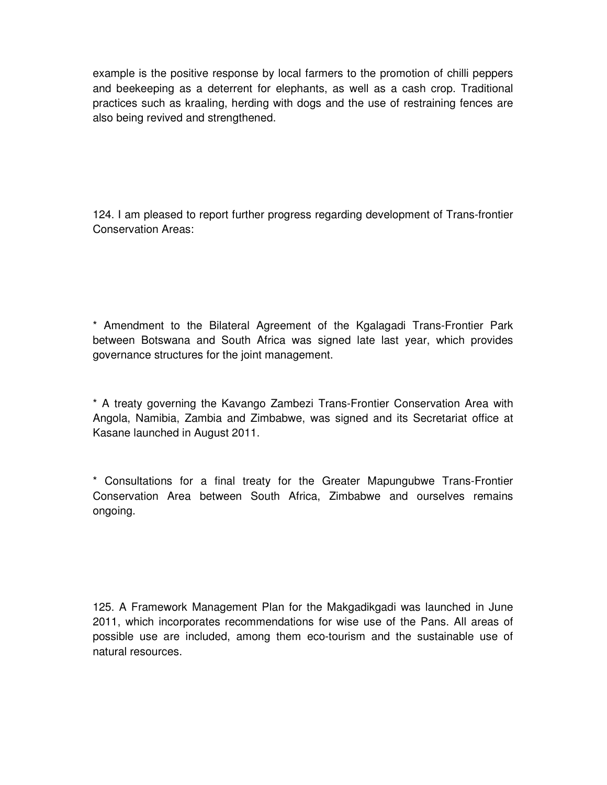example is the positive response by local farmers to the promotion of chilli peppers and beekeeping as a deterrent for elephants, as well as a cash crop. Traditional practices such as kraaling, herding with dogs and the use of restraining fences are also being revived and strengthened.

124. I am pleased to report further progress regarding development of Trans-frontier Conservation Areas:

\* Amendment to the Bilateral Agreement of the Kgalagadi Trans-Frontier Park between Botswana and South Africa was signed late last year, which provides governance structures for the joint management.

\* A treaty governing the Kavango Zambezi Trans-Frontier Conservation Area with Angola, Namibia, Zambia and Zimbabwe, was signed and its Secretariat office at Kasane launched in August 2011.

\* Consultations for a final treaty for the Greater Mapungubwe Trans-Frontier Conservation Area between South Africa, Zimbabwe and ourselves remains ongoing.

125. A Framework Management Plan for the Makgadikgadi was launched in June 2011, which incorporates recommendations for wise use of the Pans. All areas of possible use are included, among them eco-tourism and the sustainable use of natural resources.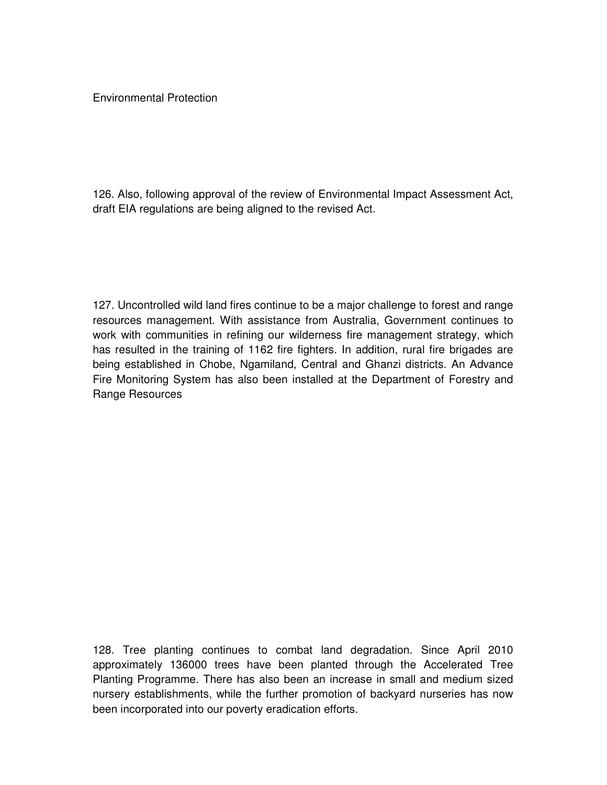Environmental Protection

126. Also, following approval of the review of Environmental Impact Assessment Act, draft EIA regulations are being aligned to the revised Act.

127. Uncontrolled wild land fires continue to be a major challenge to forest and range resources management. With assistance from Australia, Government continues to work with communities in refining our wilderness fire management strategy, which has resulted in the training of 1162 fire fighters. In addition, rural fire brigades are being established in Chobe, Ngamiland, Central and Ghanzi districts. An Advance Fire Monitoring System has also been installed at the Department of Forestry and Range Resources

128. Tree planting continues to combat land degradation. Since April 2010 approximately 136000 trees have been planted through the Accelerated Tree Planting Programme. There has also been an increase in small and medium sized nursery establishments, while the further promotion of backyard nurseries has now been incorporated into our poverty eradication efforts.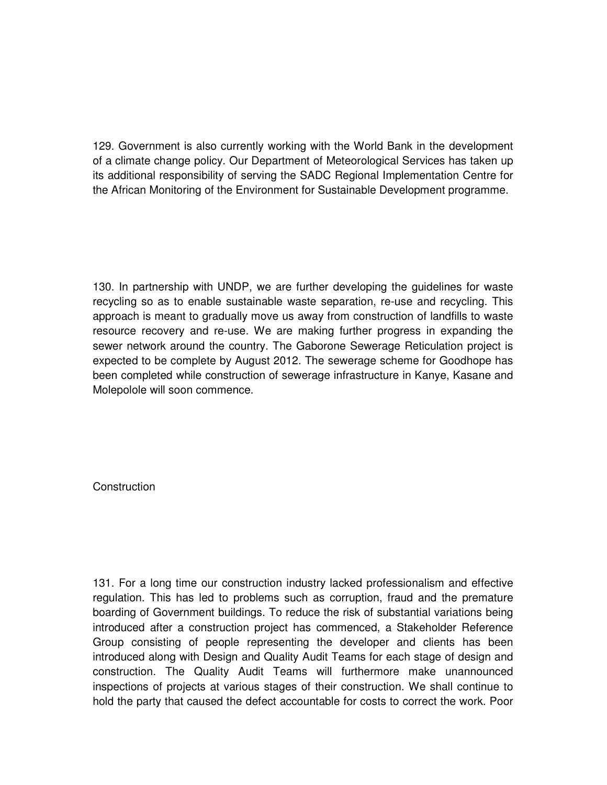129. Government is also currently working with the World Bank in the development of a climate change policy. Our Department of Meteorological Services has taken up its additional responsibility of serving the SADC Regional Implementation Centre for the African Monitoring of the Environment for Sustainable Development programme.

130. In partnership with UNDP, we are further developing the guidelines for waste recycling so as to enable sustainable waste separation, re-use and recycling. This approach is meant to gradually move us away from construction of landfills to waste resource recovery and re-use. We are making further progress in expanding the sewer network around the country. The Gaborone Sewerage Reticulation project is expected to be complete by August 2012. The sewerage scheme for Goodhope has been completed while construction of sewerage infrastructure in Kanye, Kasane and Molepolole will soon commence.

**Construction** 

131. For a long time our construction industry lacked professionalism and effective regulation. This has led to problems such as corruption, fraud and the premature boarding of Government buildings. To reduce the risk of substantial variations being introduced after a construction project has commenced, a Stakeholder Reference Group consisting of people representing the developer and clients has been introduced along with Design and Quality Audit Teams for each stage of design and construction. The Quality Audit Teams will furthermore make unannounced inspections of projects at various stages of their construction. We shall continue to hold the party that caused the defect accountable for costs to correct the work. Poor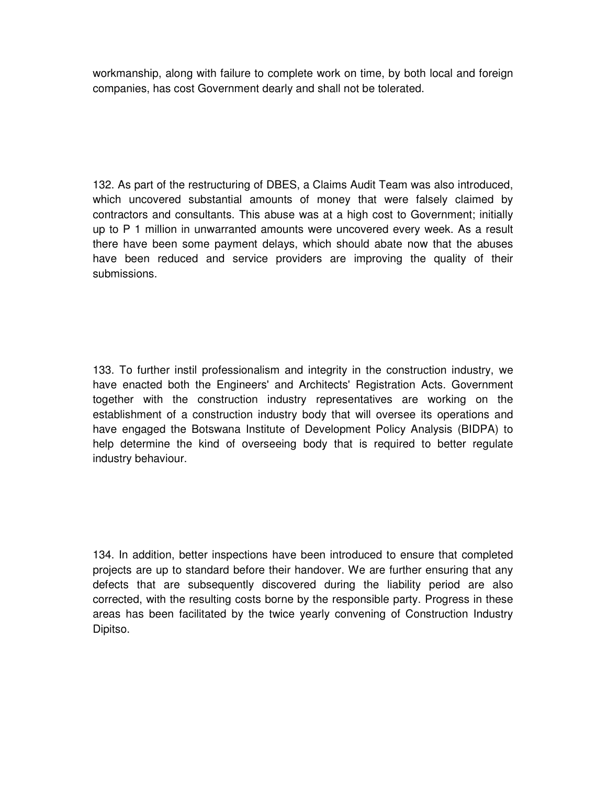workmanship, along with failure to complete work on time, by both local and foreign companies, has cost Government dearly and shall not be tolerated.

132. As part of the restructuring of DBES, a Claims Audit Team was also introduced, which uncovered substantial amounts of money that were falsely claimed by contractors and consultants. This abuse was at a high cost to Government; initially up to P 1 million in unwarranted amounts were uncovered every week. As a result there have been some payment delays, which should abate now that the abuses have been reduced and service providers are improving the quality of their submissions.

133. To further instil professionalism and integrity in the construction industry, we have enacted both the Engineers' and Architects' Registration Acts. Government together with the construction industry representatives are working on the establishment of a construction industry body that will oversee its operations and have engaged the Botswana Institute of Development Policy Analysis (BIDPA) to help determine the kind of overseeing body that is required to better regulate industry behaviour.

134. In addition, better inspections have been introduced to ensure that completed projects are up to standard before their handover. We are further ensuring that any defects that are subsequently discovered during the liability period are also corrected, with the resulting costs borne by the responsible party. Progress in these areas has been facilitated by the twice yearly convening of Construction Industry Dipitso.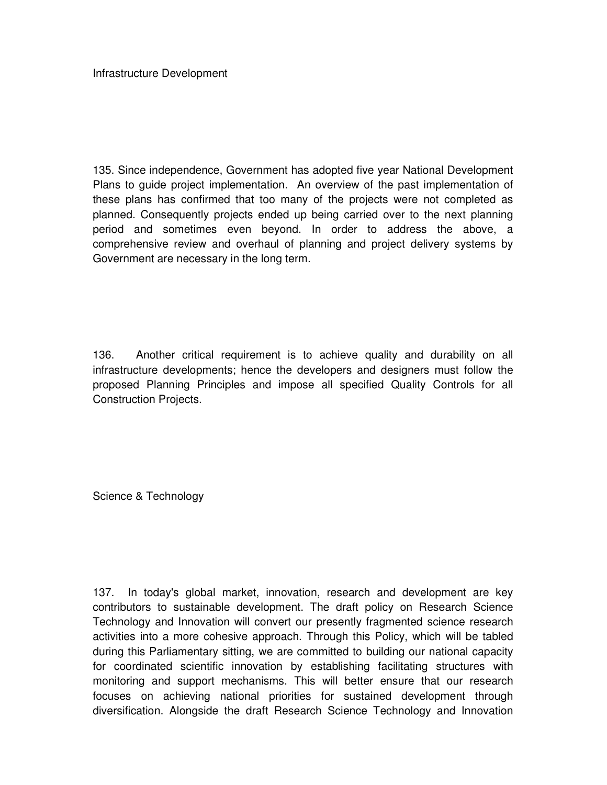Infrastructure Development

135. Since independence, Government has adopted five year National Development Plans to guide project implementation. An overview of the past implementation of these plans has confirmed that too many of the projects were not completed as planned. Consequently projects ended up being carried over to the next planning period and sometimes even beyond. In order to address the above, a comprehensive review and overhaul of planning and project delivery systems by Government are necessary in the long term.

136. Another critical requirement is to achieve quality and durability on all infrastructure developments; hence the developers and designers must follow the proposed Planning Principles and impose all specified Quality Controls for all Construction Projects.

Science & Technology

137. In today's global market, innovation, research and development are key contributors to sustainable development. The draft policy on Research Science Technology and Innovation will convert our presently fragmented science research activities into a more cohesive approach. Through this Policy, which will be tabled during this Parliamentary sitting, we are committed to building our national capacity for coordinated scientific innovation by establishing facilitating structures with monitoring and support mechanisms. This will better ensure that our research focuses on achieving national priorities for sustained development through diversification. Alongside the draft Research Science Technology and Innovation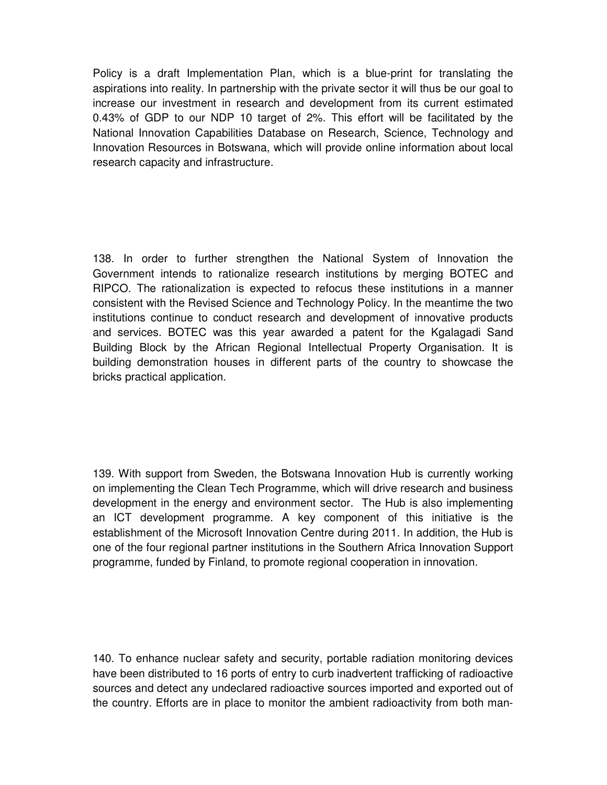Policy is a draft Implementation Plan, which is a blue-print for translating the aspirations into reality. In partnership with the private sector it will thus be our goal to increase our investment in research and development from its current estimated 0.43% of GDP to our NDP 10 target of 2%. This effort will be facilitated by the National Innovation Capabilities Database on Research, Science, Technology and Innovation Resources in Botswana, which will provide online information about local research capacity and infrastructure.

138. In order to further strengthen the National System of Innovation the Government intends to rationalize research institutions by merging BOTEC and RIPCO. The rationalization is expected to refocus these institutions in a manner consistent with the Revised Science and Technology Policy. In the meantime the two institutions continue to conduct research and development of innovative products and services. BOTEC was this year awarded a patent for the Kgalagadi Sand Building Block by the African Regional Intellectual Property Organisation. It is building demonstration houses in different parts of the country to showcase the bricks practical application.

139. With support from Sweden, the Botswana Innovation Hub is currently working on implementing the Clean Tech Programme, which will drive research and business development in the energy and environment sector. The Hub is also implementing an ICT development programme. A key component of this initiative is the establishment of the Microsoft Innovation Centre during 2011. In addition, the Hub is one of the four regional partner institutions in the Southern Africa Innovation Support programme, funded by Finland, to promote regional cooperation in innovation.

140. To enhance nuclear safety and security, portable radiation monitoring devices have been distributed to 16 ports of entry to curb inadvertent trafficking of radioactive sources and detect any undeclared radioactive sources imported and exported out of the country. Efforts are in place to monitor the ambient radioactivity from both man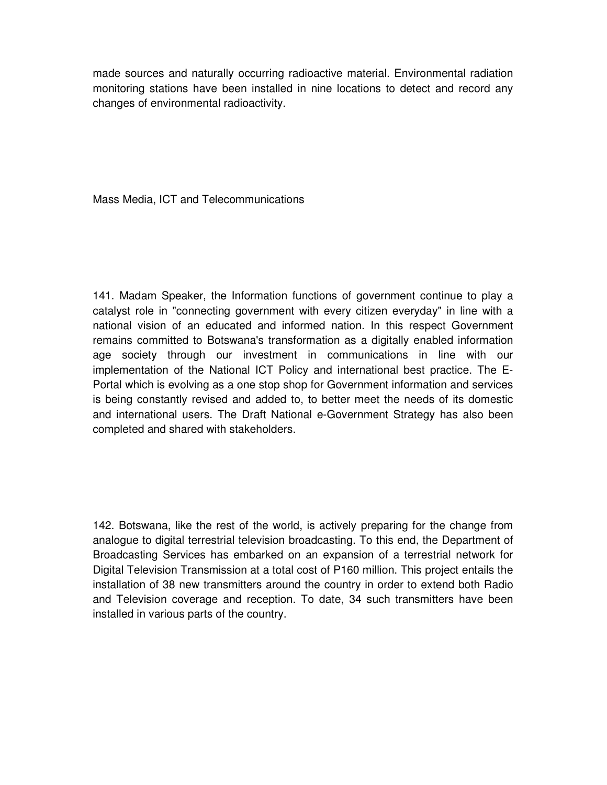made sources and naturally occurring radioactive material. Environmental radiation monitoring stations have been installed in nine locations to detect and record any changes of environmental radioactivity.

Mass Media, ICT and Telecommunications

141. Madam Speaker, the Information functions of government continue to play a catalyst role in "connecting government with every citizen everyday" in line with a national vision of an educated and informed nation. In this respect Government remains committed to Botswana's transformation as a digitally enabled information age society through our investment in communications in line with our implementation of the National ICT Policy and international best practice. The E-Portal which is evolving as a one stop shop for Government information and services is being constantly revised and added to, to better meet the needs of its domestic and international users. The Draft National e-Government Strategy has also been completed and shared with stakeholders.

142. Botswana, like the rest of the world, is actively preparing for the change from analogue to digital terrestrial television broadcasting. To this end, the Department of Broadcasting Services has embarked on an expansion of a terrestrial network for Digital Television Transmission at a total cost of P160 million. This project entails the installation of 38 new transmitters around the country in order to extend both Radio and Television coverage and reception. To date, 34 such transmitters have been installed in various parts of the country.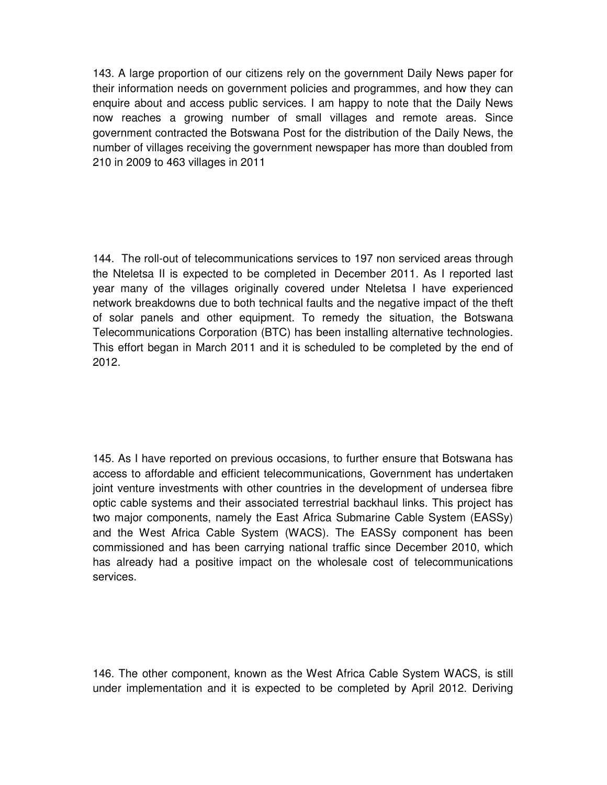143. A large proportion of our citizens rely on the government Daily News paper for their information needs on government policies and programmes, and how they can enquire about and access public services. I am happy to note that the Daily News now reaches a growing number of small villages and remote areas. Since government contracted the Botswana Post for the distribution of the Daily News, the number of villages receiving the government newspaper has more than doubled from 210 in 2009 to 463 villages in 2011

144. The roll-out of telecommunications services to 197 non serviced areas through the Nteletsa II is expected to be completed in December 2011. As I reported last year many of the villages originally covered under Nteletsa I have experienced network breakdowns due to both technical faults and the negative impact of the theft of solar panels and other equipment. To remedy the situation, the Botswana Telecommunications Corporation (BTC) has been installing alternative technologies. This effort began in March 2011 and it is scheduled to be completed by the end of 2012.

145. As I have reported on previous occasions, to further ensure that Botswana has access to affordable and efficient telecommunications, Government has undertaken joint venture investments with other countries in the development of undersea fibre optic cable systems and their associated terrestrial backhaul links. This project has two major components, namely the East Africa Submarine Cable System (EASSy) and the West Africa Cable System (WACS). The EASSy component has been commissioned and has been carrying national traffic since December 2010, which has already had a positive impact on the wholesale cost of telecommunications services.

146. The other component, known as the West Africa Cable System WACS, is still under implementation and it is expected to be completed by April 2012. Deriving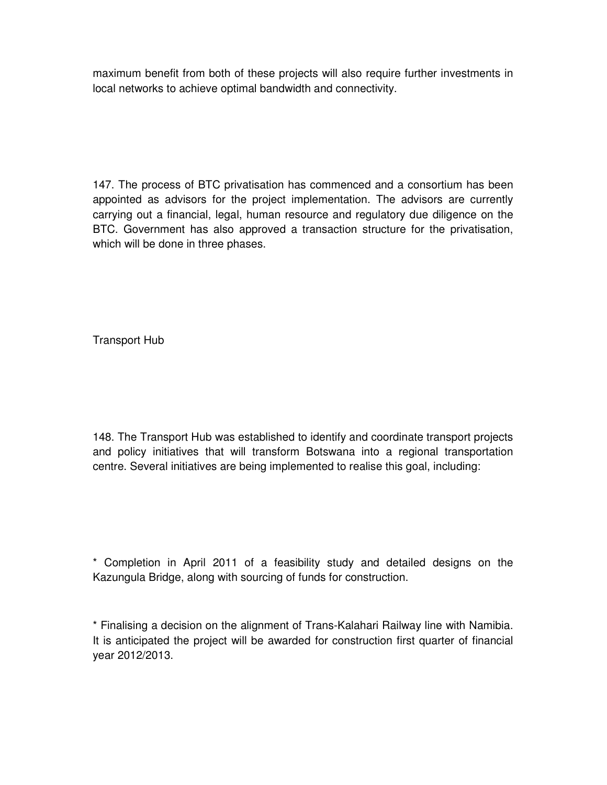maximum benefit from both of these projects will also require further investments in local networks to achieve optimal bandwidth and connectivity.

147. The process of BTC privatisation has commenced and a consortium has been appointed as advisors for the project implementation. The advisors are currently carrying out a financial, legal, human resource and regulatory due diligence on the BTC. Government has also approved a transaction structure for the privatisation, which will be done in three phases.

Transport Hub

148. The Transport Hub was established to identify and coordinate transport projects and policy initiatives that will transform Botswana into a regional transportation centre. Several initiatives are being implemented to realise this goal, including:

\* Completion in April 2011 of a feasibility study and detailed designs on the Kazungula Bridge, along with sourcing of funds for construction.

\* Finalising a decision on the alignment of Trans-Kalahari Railway line with Namibia. It is anticipated the project will be awarded for construction first quarter of financial year 2012/2013.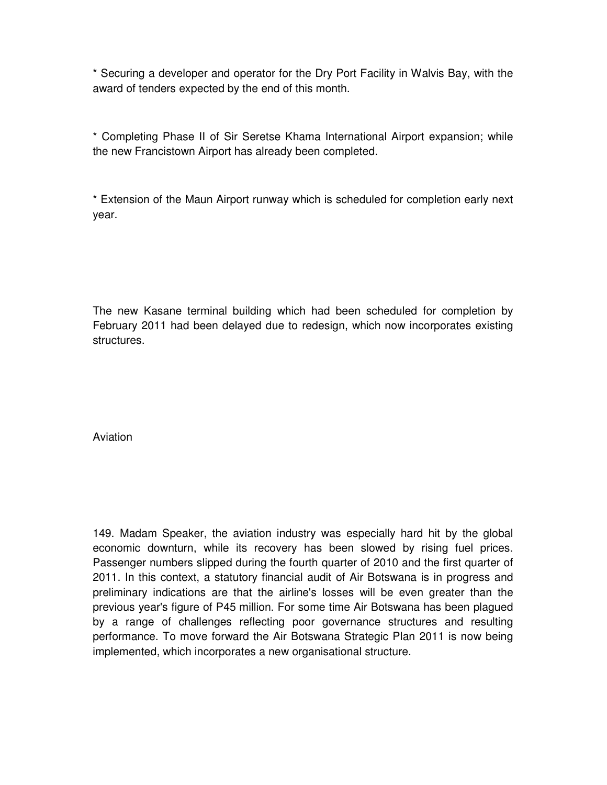\* Securing a developer and operator for the Dry Port Facility in Walvis Bay, with the award of tenders expected by the end of this month.

\* Completing Phase II of Sir Seretse Khama International Airport expansion; while the new Francistown Airport has already been completed.

\* Extension of the Maun Airport runway which is scheduled for completion early next year.

The new Kasane terminal building which had been scheduled for completion by February 2011 had been delayed due to redesign, which now incorporates existing structures.

Aviation

149. Madam Speaker, the aviation industry was especially hard hit by the global economic downturn, while its recovery has been slowed by rising fuel prices. Passenger numbers slipped during the fourth quarter of 2010 and the first quarter of 2011. In this context, a statutory financial audit of Air Botswana is in progress and preliminary indications are that the airline's losses will be even greater than the previous year's figure of P45 million. For some time Air Botswana has been plagued by a range of challenges reflecting poor governance structures and resulting performance. To move forward the Air Botswana Strategic Plan 2011 is now being implemented, which incorporates a new organisational structure.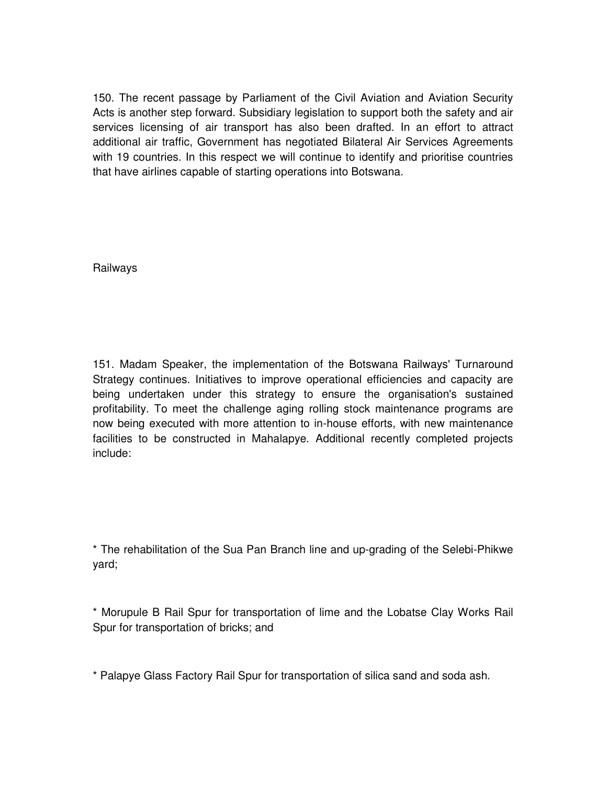150. The recent passage by Parliament of the Civil Aviation and Aviation Security Acts is another step forward. Subsidiary legislation to support both the safety and air services licensing of air transport has also been drafted. In an effort to attract additional air traffic, Government has negotiated Bilateral Air Services Agreements with 19 countries. In this respect we will continue to identify and prioritise countries that have airlines capable of starting operations into Botswana.

Railways

151. Madam Speaker, the implementation of the Botswana Railways' Turnaround Strategy continues. Initiatives to improve operational efficiencies and capacity are being undertaken under this strategy to ensure the organisation's sustained profitability. To meet the challenge aging rolling stock maintenance programs are now being executed with more attention to in-house efforts, with new maintenance facilities to be constructed in Mahalapye. Additional recently completed projects include:

\* The rehabilitation of the Sua Pan Branch line and up-grading of the Selebi-Phikwe yard;

\* Morupule B Rail Spur for transportation of lime and the Lobatse Clay Works Rail Spur for transportation of bricks; and

\* Palapye Glass Factory Rail Spur for transportation of silica sand and soda ash.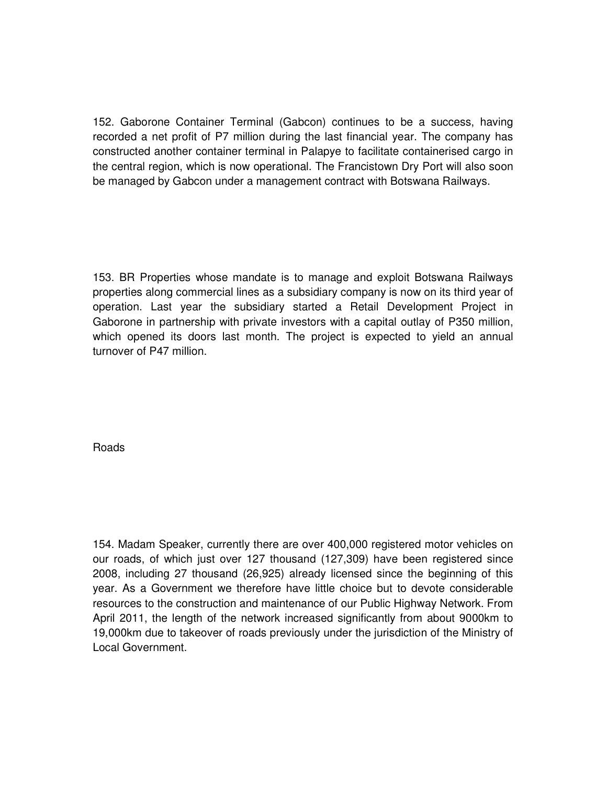152. Gaborone Container Terminal (Gabcon) continues to be a success, having recorded a net profit of P7 million during the last financial year. The company has constructed another container terminal in Palapye to facilitate containerised cargo in the central region, which is now operational. The Francistown Dry Port will also soon be managed by Gabcon under a management contract with Botswana Railways.

153. BR Properties whose mandate is to manage and exploit Botswana Railways properties along commercial lines as a subsidiary company is now on its third year of operation. Last year the subsidiary started a Retail Development Project in Gaborone in partnership with private investors with a capital outlay of P350 million, which opened its doors last month. The project is expected to yield an annual turnover of P47 million.

Roads

154. Madam Speaker, currently there are over 400,000 registered motor vehicles on our roads, of which just over 127 thousand (127,309) have been registered since 2008, including 27 thousand (26,925) already licensed since the beginning of this year. As a Government we therefore have little choice but to devote considerable resources to the construction and maintenance of our Public Highway Network. From April 2011, the length of the network increased significantly from about 9000km to 19,000km due to takeover of roads previously under the jurisdiction of the Ministry of Local Government.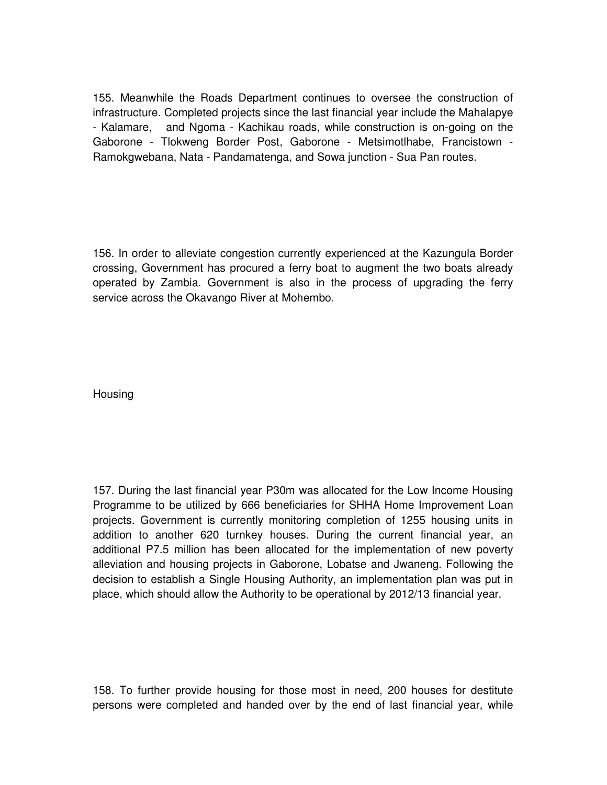155. Meanwhile the Roads Department continues to oversee the construction of infrastructure. Completed projects since the last financial year include the Mahalapye - Kalamare, and Ngoma - Kachikau roads, while construction is on-going on the Gaborone - Tlokweng Border Post, Gaborone - Metsimotlhabe, Francistown - Ramokgwebana, Nata - Pandamatenga, and Sowa junction - Sua Pan routes.

156. In order to alleviate congestion currently experienced at the Kazungula Border crossing, Government has procured a ferry boat to augment the two boats already operated by Zambia. Government is also in the process of upgrading the ferry service across the Okavango River at Mohembo.

**Housing** 

157. During the last financial year P30m was allocated for the Low Income Housing Programme to be utilized by 666 beneficiaries for SHHA Home Improvement Loan projects. Government is currently monitoring completion of 1255 housing units in addition to another 620 turnkey houses. During the current financial year, an additional P7.5 million has been allocated for the implementation of new poverty alleviation and housing projects in Gaborone, Lobatse and Jwaneng. Following the decision to establish a Single Housing Authority, an implementation plan was put in place, which should allow the Authority to be operational by 2012/13 financial year.

158. To further provide housing for those most in need, 200 houses for destitute persons were completed and handed over by the end of last financial year, while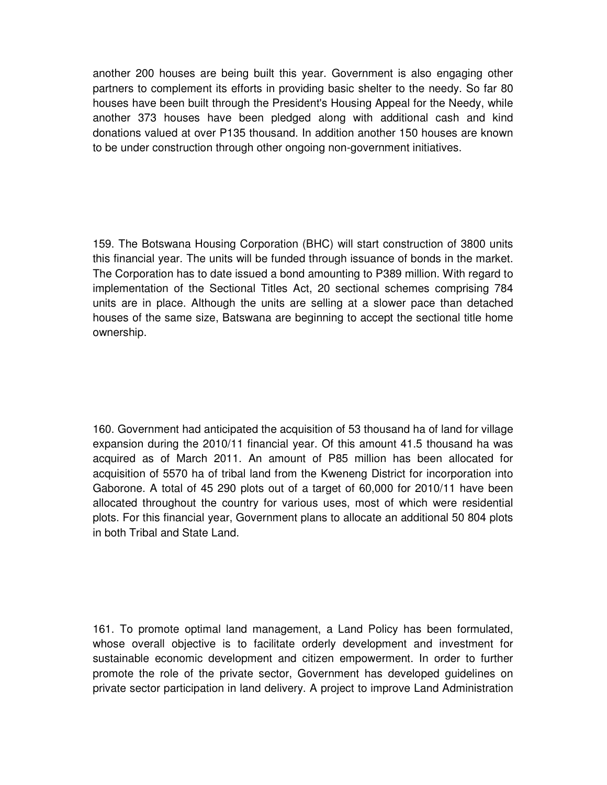another 200 houses are being built this year. Government is also engaging other partners to complement its efforts in providing basic shelter to the needy. So far 80 houses have been built through the President's Housing Appeal for the Needy, while another 373 houses have been pledged along with additional cash and kind donations valued at over P135 thousand. In addition another 150 houses are known to be under construction through other ongoing non-government initiatives.

159. The Botswana Housing Corporation (BHC) will start construction of 3800 units this financial year. The units will be funded through issuance of bonds in the market. The Corporation has to date issued a bond amounting to P389 million. With regard to implementation of the Sectional Titles Act, 20 sectional schemes comprising 784 units are in place. Although the units are selling at a slower pace than detached houses of the same size, Batswana are beginning to accept the sectional title home ownership.

160. Government had anticipated the acquisition of 53 thousand ha of land for village expansion during the 2010/11 financial year. Of this amount 41.5 thousand ha was acquired as of March 2011. An amount of P85 million has been allocated for acquisition of 5570 ha of tribal land from the Kweneng District for incorporation into Gaborone. A total of 45 290 plots out of a target of 60,000 for 2010/11 have been allocated throughout the country for various uses, most of which were residential plots. For this financial year, Government plans to allocate an additional 50 804 plots in both Tribal and State Land.

161. To promote optimal land management, a Land Policy has been formulated, whose overall objective is to facilitate orderly development and investment for sustainable economic development and citizen empowerment. In order to further promote the role of the private sector, Government has developed guidelines on private sector participation in land delivery. A project to improve Land Administration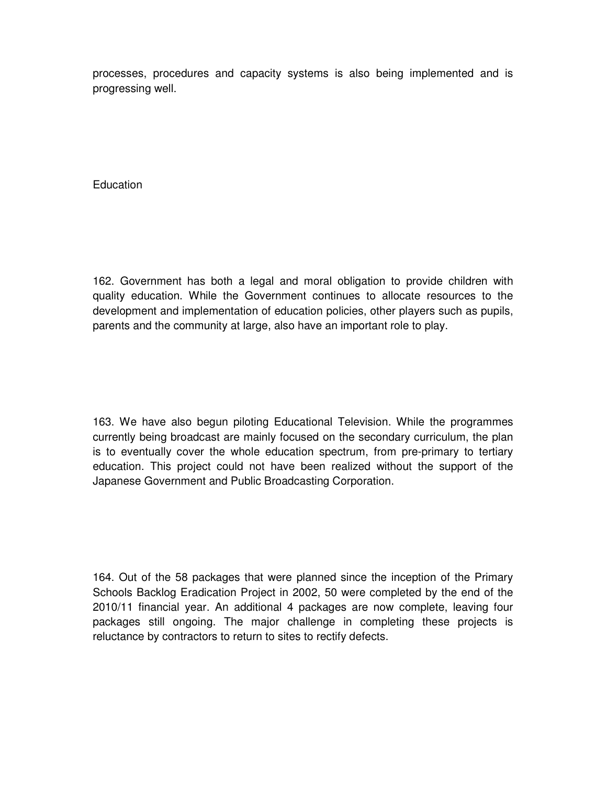processes, procedures and capacity systems is also being implemented and is progressing well.

**Education** 

162. Government has both a legal and moral obligation to provide children with quality education. While the Government continues to allocate resources to the development and implementation of education policies, other players such as pupils, parents and the community at large, also have an important role to play.

163. We have also begun piloting Educational Television. While the programmes currently being broadcast are mainly focused on the secondary curriculum, the plan is to eventually cover the whole education spectrum, from pre-primary to tertiary education. This project could not have been realized without the support of the Japanese Government and Public Broadcasting Corporation.

164. Out of the 58 packages that were planned since the inception of the Primary Schools Backlog Eradication Project in 2002, 50 were completed by the end of the 2010/11 financial year. An additional 4 packages are now complete, leaving four packages still ongoing. The major challenge in completing these projects is reluctance by contractors to return to sites to rectify defects.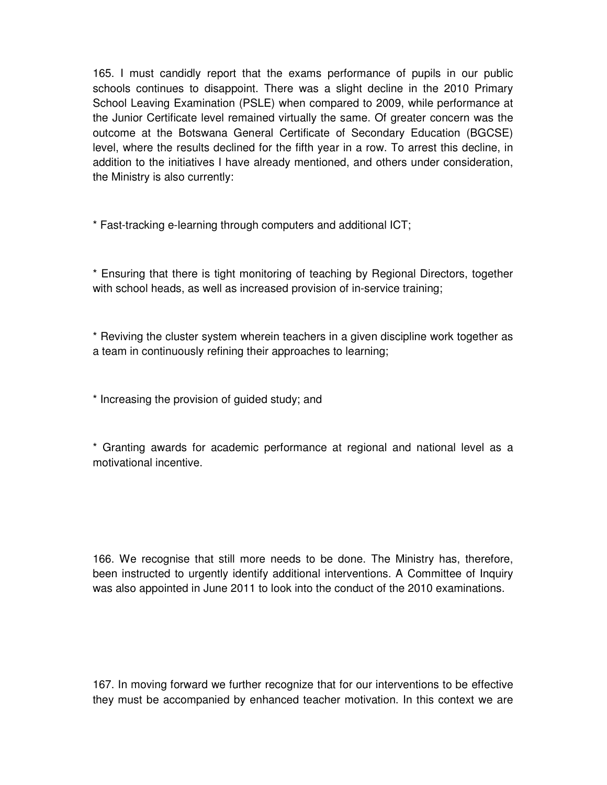165. I must candidly report that the exams performance of pupils in our public schools continues to disappoint. There was a slight decline in the 2010 Primary School Leaving Examination (PSLE) when compared to 2009, while performance at the Junior Certificate level remained virtually the same. Of greater concern was the outcome at the Botswana General Certificate of Secondary Education (BGCSE) level, where the results declined for the fifth year in a row. To arrest this decline, in addition to the initiatives I have already mentioned, and others under consideration, the Ministry is also currently:

\* Fast-tracking e-learning through computers and additional ICT;

\* Ensuring that there is tight monitoring of teaching by Regional Directors, together with school heads, as well as increased provision of in-service training;

\* Reviving the cluster system wherein teachers in a given discipline work together as a team in continuously refining their approaches to learning;

\* Increasing the provision of guided study; and

\* Granting awards for academic performance at regional and national level as a motivational incentive.

166. We recognise that still more needs to be done. The Ministry has, therefore, been instructed to urgently identify additional interventions. A Committee of Inquiry was also appointed in June 2011 to look into the conduct of the 2010 examinations.

167. In moving forward we further recognize that for our interventions to be effective they must be accompanied by enhanced teacher motivation. In this context we are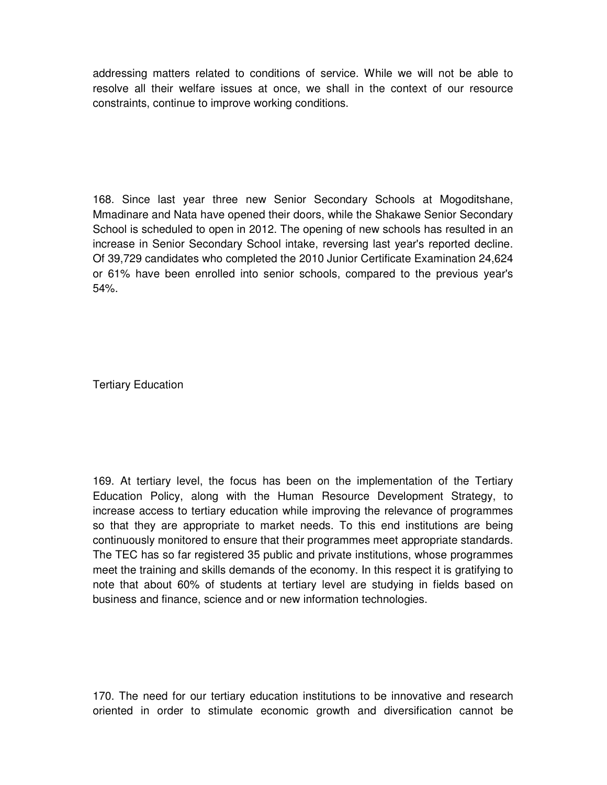addressing matters related to conditions of service. While we will not be able to resolve all their welfare issues at once, we shall in the context of our resource constraints, continue to improve working conditions.

168. Since last year three new Senior Secondary Schools at Mogoditshane, Mmadinare and Nata have opened their doors, while the Shakawe Senior Secondary School is scheduled to open in 2012. The opening of new schools has resulted in an increase in Senior Secondary School intake, reversing last year's reported decline. Of 39,729 candidates who completed the 2010 Junior Certificate Examination 24,624 or 61% have been enrolled into senior schools, compared to the previous year's 54%.

Tertiary Education

169. At tertiary level, the focus has been on the implementation of the Tertiary Education Policy, along with the Human Resource Development Strategy, to increase access to tertiary education while improving the relevance of programmes so that they are appropriate to market needs. To this end institutions are being continuously monitored to ensure that their programmes meet appropriate standards. The TEC has so far registered 35 public and private institutions, whose programmes meet the training and skills demands of the economy. In this respect it is gratifying to note that about 60% of students at tertiary level are studying in fields based on business and finance, science and or new information technologies.

170. The need for our tertiary education institutions to be innovative and research oriented in order to stimulate economic growth and diversification cannot be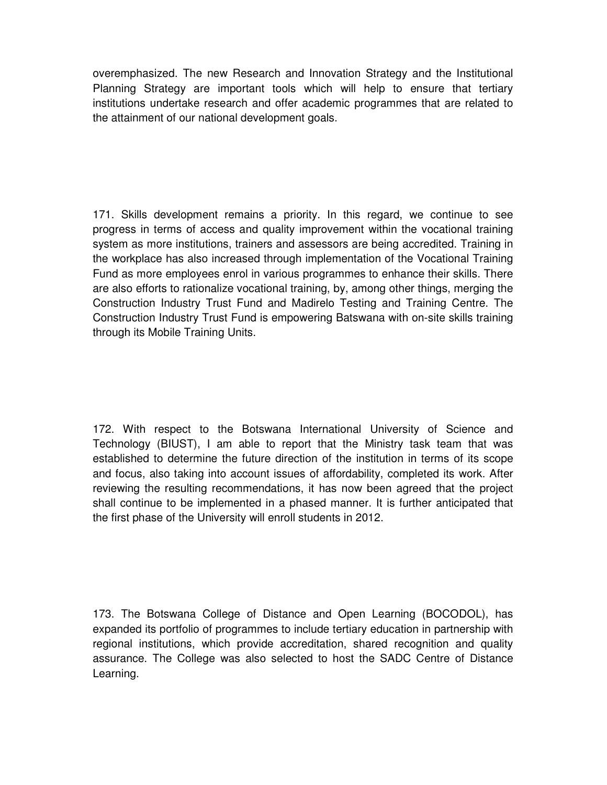overemphasized. The new Research and Innovation Strategy and the Institutional Planning Strategy are important tools which will help to ensure that tertiary institutions undertake research and offer academic programmes that are related to the attainment of our national development goals.

171. Skills development remains a priority. In this regard, we continue to see progress in terms of access and quality improvement within the vocational training system as more institutions, trainers and assessors are being accredited. Training in the workplace has also increased through implementation of the Vocational Training Fund as more employees enrol in various programmes to enhance their skills. There are also efforts to rationalize vocational training, by, among other things, merging the Construction Industry Trust Fund and Madirelo Testing and Training Centre. The Construction Industry Trust Fund is empowering Batswana with on-site skills training through its Mobile Training Units.

172. With respect to the Botswana International University of Science and Technology (BIUST), I am able to report that the Ministry task team that was established to determine the future direction of the institution in terms of its scope and focus, also taking into account issues of affordability, completed its work. After reviewing the resulting recommendations, it has now been agreed that the project shall continue to be implemented in a phased manner. It is further anticipated that the first phase of the University will enroll students in 2012.

173. The Botswana College of Distance and Open Learning (BOCODOL), has expanded its portfolio of programmes to include tertiary education in partnership with regional institutions, which provide accreditation, shared recognition and quality assurance. The College was also selected to host the SADC Centre of Distance Learning.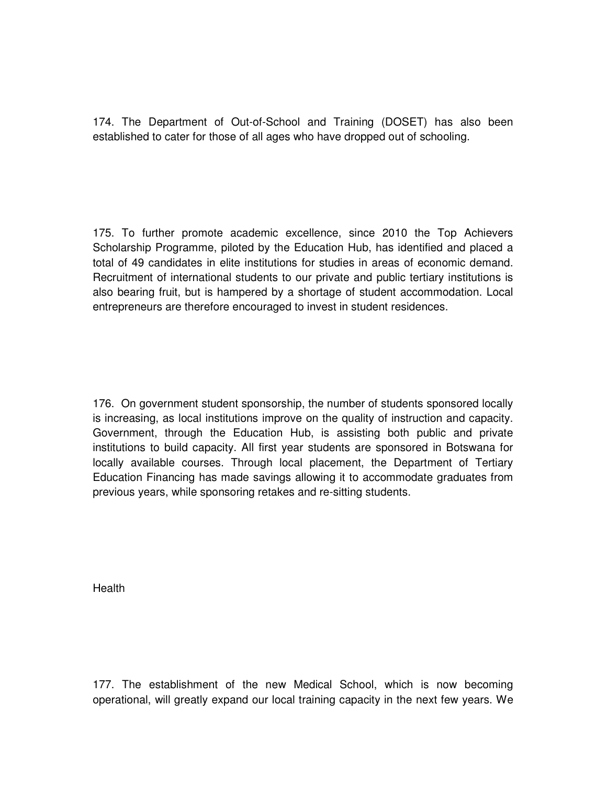174. The Department of Out-of-School and Training (DOSET) has also been established to cater for those of all ages who have dropped out of schooling.

175. To further promote academic excellence, since 2010 the Top Achievers Scholarship Programme, piloted by the Education Hub, has identified and placed a total of 49 candidates in elite institutions for studies in areas of economic demand. Recruitment of international students to our private and public tertiary institutions is also bearing fruit, but is hampered by a shortage of student accommodation. Local entrepreneurs are therefore encouraged to invest in student residences.

176. On government student sponsorship, the number of students sponsored locally is increasing, as local institutions improve on the quality of instruction and capacity. Government, through the Education Hub, is assisting both public and private institutions to build capacity. All first year students are sponsored in Botswana for locally available courses. Through local placement, the Department of Tertiary Education Financing has made savings allowing it to accommodate graduates from previous years, while sponsoring retakes and re-sitting students.

**Health** 

177. The establishment of the new Medical School, which is now becoming operational, will greatly expand our local training capacity in the next few years. We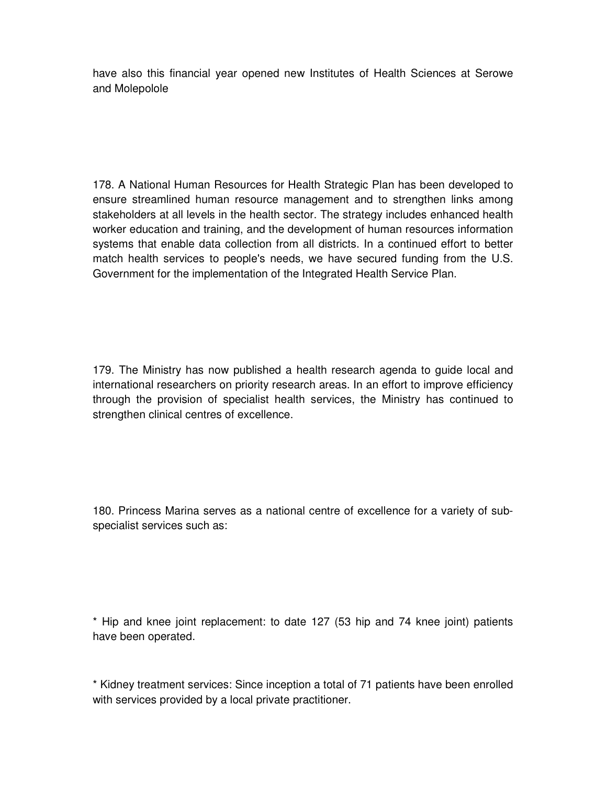have also this financial year opened new Institutes of Health Sciences at Serowe and Molepolole

178. A National Human Resources for Health Strategic Plan has been developed to ensure streamlined human resource management and to strengthen links among stakeholders at all levels in the health sector. The strategy includes enhanced health worker education and training, and the development of human resources information systems that enable data collection from all districts. In a continued effort to better match health services to people's needs, we have secured funding from the U.S. Government for the implementation of the Integrated Health Service Plan.

179. The Ministry has now published a health research agenda to guide local and international researchers on priority research areas. In an effort to improve efficiency through the provision of specialist health services, the Ministry has continued to strengthen clinical centres of excellence.

180. Princess Marina serves as a national centre of excellence for a variety of subspecialist services such as:

\* Hip and knee joint replacement: to date 127 (53 hip and 74 knee joint) patients have been operated.

\* Kidney treatment services: Since inception a total of 71 patients have been enrolled with services provided by a local private practitioner.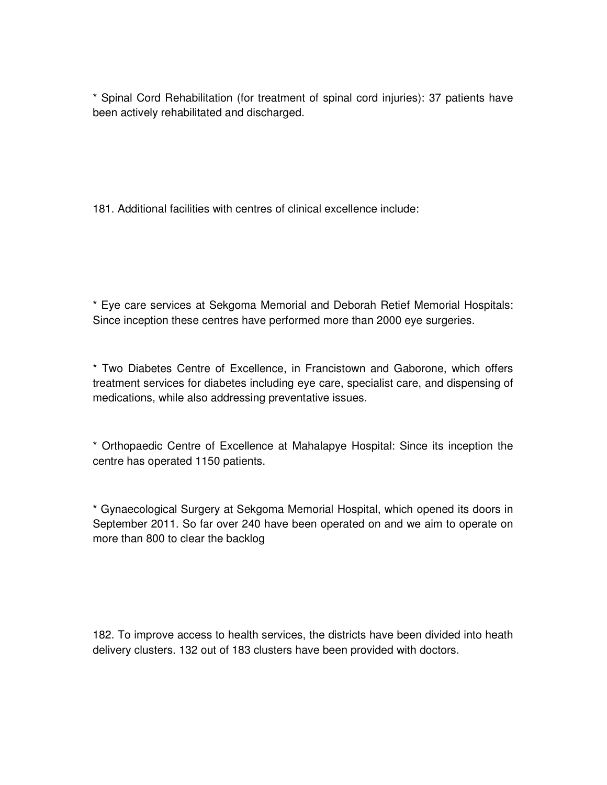\* Spinal Cord Rehabilitation (for treatment of spinal cord injuries): 37 patients have been actively rehabilitated and discharged.

181. Additional facilities with centres of clinical excellence include:

\* Eye care services at Sekgoma Memorial and Deborah Retief Memorial Hospitals: Since inception these centres have performed more than 2000 eye surgeries.

\* Two Diabetes Centre of Excellence, in Francistown and Gaborone, which offers treatment services for diabetes including eye care, specialist care, and dispensing of medications, while also addressing preventative issues.

\* Orthopaedic Centre of Excellence at Mahalapye Hospital: Since its inception the centre has operated 1150 patients.

\* Gynaecological Surgery at Sekgoma Memorial Hospital, which opened its doors in September 2011. So far over 240 have been operated on and we aim to operate on more than 800 to clear the backlog

182. To improve access to health services, the districts have been divided into heath delivery clusters. 132 out of 183 clusters have been provided with doctors.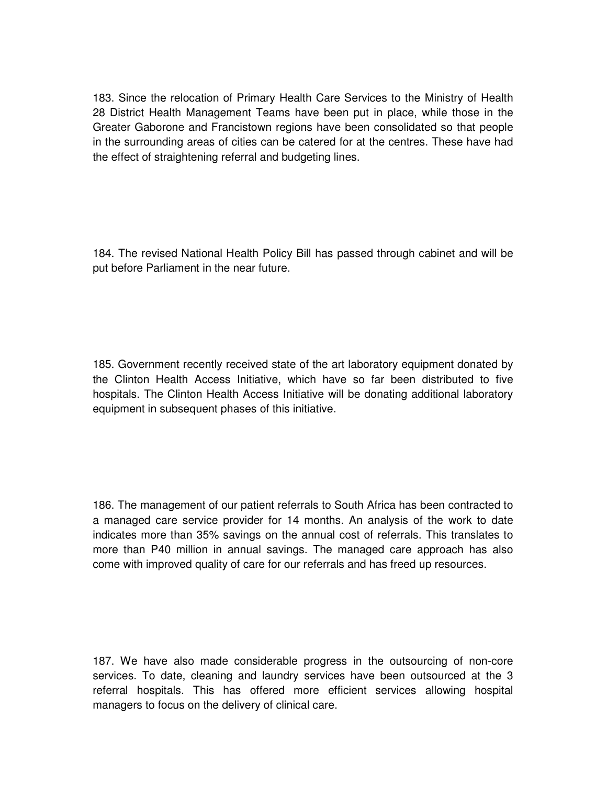183. Since the relocation of Primary Health Care Services to the Ministry of Health 28 District Health Management Teams have been put in place, while those in the Greater Gaborone and Francistown regions have been consolidated so that people in the surrounding areas of cities can be catered for at the centres. These have had the effect of straightening referral and budgeting lines.

184. The revised National Health Policy Bill has passed through cabinet and will be put before Parliament in the near future.

185. Government recently received state of the art laboratory equipment donated by the Clinton Health Access Initiative, which have so far been distributed to five hospitals. The Clinton Health Access Initiative will be donating additional laboratory equipment in subsequent phases of this initiative.

186. The management of our patient referrals to South Africa has been contracted to a managed care service provider for 14 months. An analysis of the work to date indicates more than 35% savings on the annual cost of referrals. This translates to more than P40 million in annual savings. The managed care approach has also come with improved quality of care for our referrals and has freed up resources.

187. We have also made considerable progress in the outsourcing of non-core services. To date, cleaning and laundry services have been outsourced at the 3 referral hospitals. This has offered more efficient services allowing hospital managers to focus on the delivery of clinical care.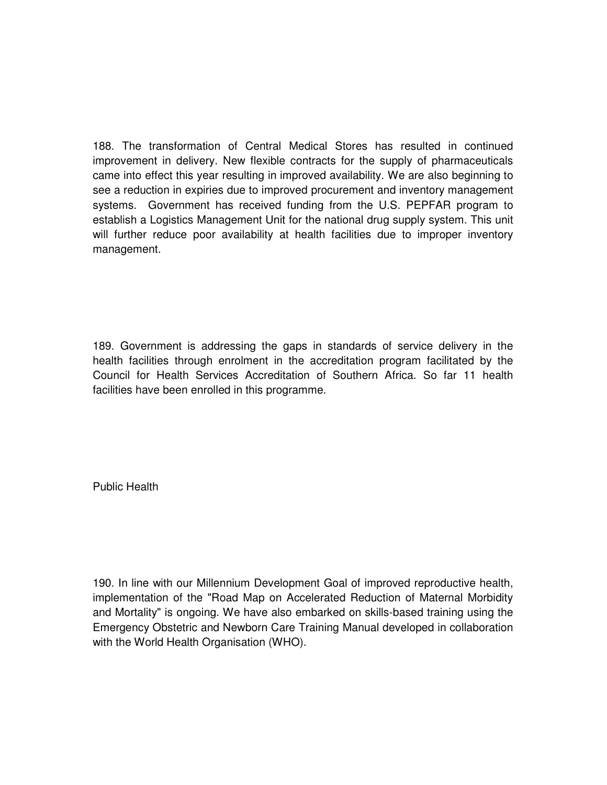188. The transformation of Central Medical Stores has resulted in continued improvement in delivery. New flexible contracts for the supply of pharmaceuticals came into effect this year resulting in improved availability. We are also beginning to see a reduction in expiries due to improved procurement and inventory management systems. Government has received funding from the U.S. PEPFAR program to establish a Logistics Management Unit for the national drug supply system. This unit will further reduce poor availability at health facilities due to improper inventory management.

189. Government is addressing the gaps in standards of service delivery in the health facilities through enrolment in the accreditation program facilitated by the Council for Health Services Accreditation of Southern Africa. So far 11 health facilities have been enrolled in this programme.

Public Health

190. In line with our Millennium Development Goal of improved reproductive health, implementation of the "Road Map on Accelerated Reduction of Maternal Morbidity and Mortality" is ongoing. We have also embarked on skills-based training using the Emergency Obstetric and Newborn Care Training Manual developed in collaboration with the World Health Organisation (WHO).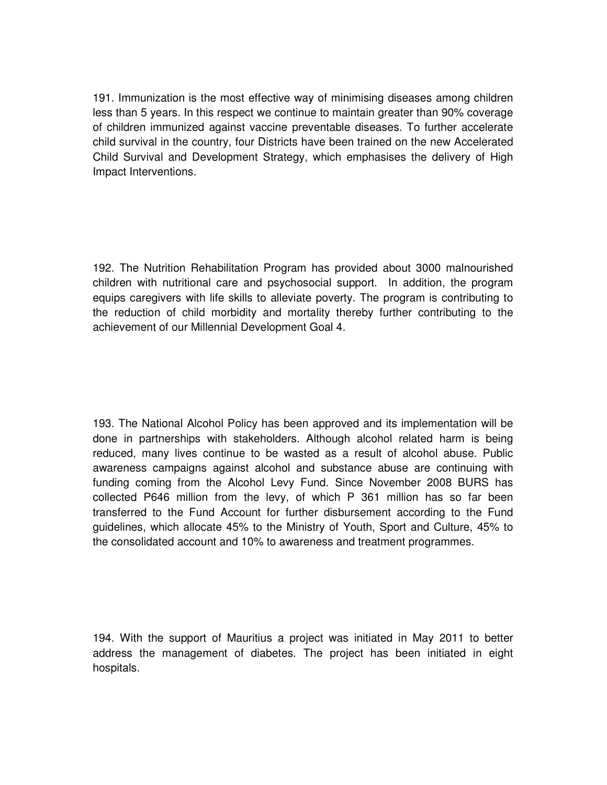191. Immunization is the most effective way of minimising diseases among children less than 5 years. In this respect we continue to maintain greater than 90% coverage of children immunized against vaccine preventable diseases. To further accelerate child survival in the country, four Districts have been trained on the new Accelerated Child Survival and Development Strategy, which emphasises the delivery of High Impact Interventions.

192. The Nutrition Rehabilitation Program has provided about 3000 malnourished children with nutritional care and psychosocial support. In addition, the program equips caregivers with life skills to alleviate poverty. The program is contributing to the reduction of child morbidity and mortality thereby further contributing to the achievement of our Millennial Development Goal 4.

193. The National Alcohol Policy has been approved and its implementation will be done in partnerships with stakeholders. Although alcohol related harm is being reduced, many lives continue to be wasted as a result of alcohol abuse. Public awareness campaigns against alcohol and substance abuse are continuing with funding coming from the Alcohol Levy Fund. Since November 2008 BURS has collected P646 million from the levy, of which P 361 million has so far been transferred to the Fund Account for further disbursement according to the Fund guidelines, which allocate 45% to the Ministry of Youth, Sport and Culture, 45% to the consolidated account and 10% to awareness and treatment programmes.

194. With the support of Mauritius a project was initiated in May 2011 to better address the management of diabetes. The project has been initiated in eight hospitals.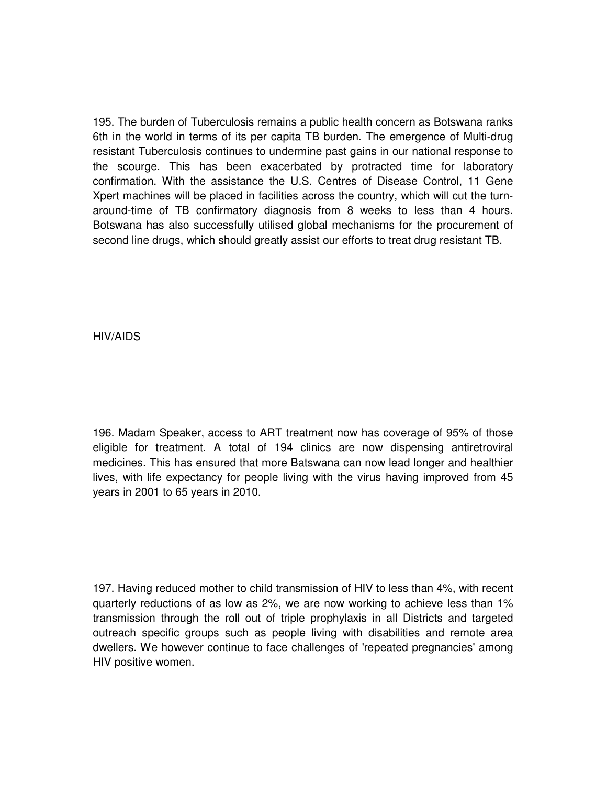195. The burden of Tuberculosis remains a public health concern as Botswana ranks 6th in the world in terms of its per capita TB burden. The emergence of Multi-drug resistant Tuberculosis continues to undermine past gains in our national response to the scourge. This has been exacerbated by protracted time for laboratory confirmation. With the assistance the U.S. Centres of Disease Control, 11 Gene Xpert machines will be placed in facilities across the country, which will cut the turnaround-time of TB confirmatory diagnosis from 8 weeks to less than 4 hours. Botswana has also successfully utilised global mechanisms for the procurement of second line drugs, which should greatly assist our efforts to treat drug resistant TB.

HIV/AIDS

196. Madam Speaker, access to ART treatment now has coverage of 95% of those eligible for treatment. A total of 194 clinics are now dispensing antiretroviral medicines. This has ensured that more Batswana can now lead longer and healthier lives, with life expectancy for people living with the virus having improved from 45 years in 2001 to 65 years in 2010.

197. Having reduced mother to child transmission of HIV to less than 4%, with recent quarterly reductions of as low as 2%, we are now working to achieve less than 1% transmission through the roll out of triple prophylaxis in all Districts and targeted outreach specific groups such as people living with disabilities and remote area dwellers. We however continue to face challenges of 'repeated pregnancies' among HIV positive women.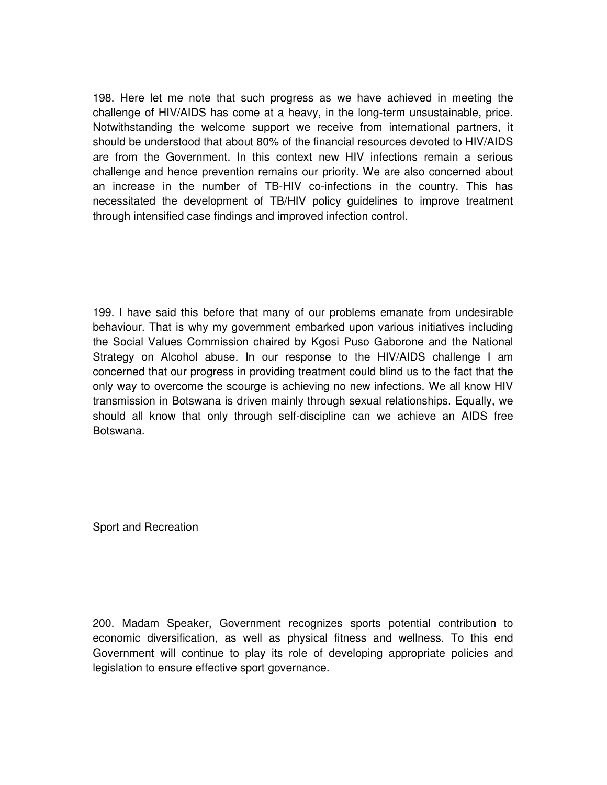198. Here let me note that such progress as we have achieved in meeting the challenge of HIV/AIDS has come at a heavy, in the long-term unsustainable, price. Notwithstanding the welcome support we receive from international partners, it should be understood that about 80% of the financial resources devoted to HIV/AIDS are from the Government. In this context new HIV infections remain a serious challenge and hence prevention remains our priority. We are also concerned about an increase in the number of TB-HIV co-infections in the country. This has necessitated the development of TB/HIV policy guidelines to improve treatment through intensified case findings and improved infection control.

199. I have said this before that many of our problems emanate from undesirable behaviour. That is why my government embarked upon various initiatives including the Social Values Commission chaired by Kgosi Puso Gaborone and the National Strategy on Alcohol abuse. In our response to the HIV/AIDS challenge I am concerned that our progress in providing treatment could blind us to the fact that the only way to overcome the scourge is achieving no new infections. We all know HIV transmission in Botswana is driven mainly through sexual relationships. Equally, we should all know that only through self-discipline can we achieve an AIDS free Botswana.

Sport and Recreation

200. Madam Speaker, Government recognizes sports potential contribution to economic diversification, as well as physical fitness and wellness. To this end Government will continue to play its role of developing appropriate policies and legislation to ensure effective sport governance.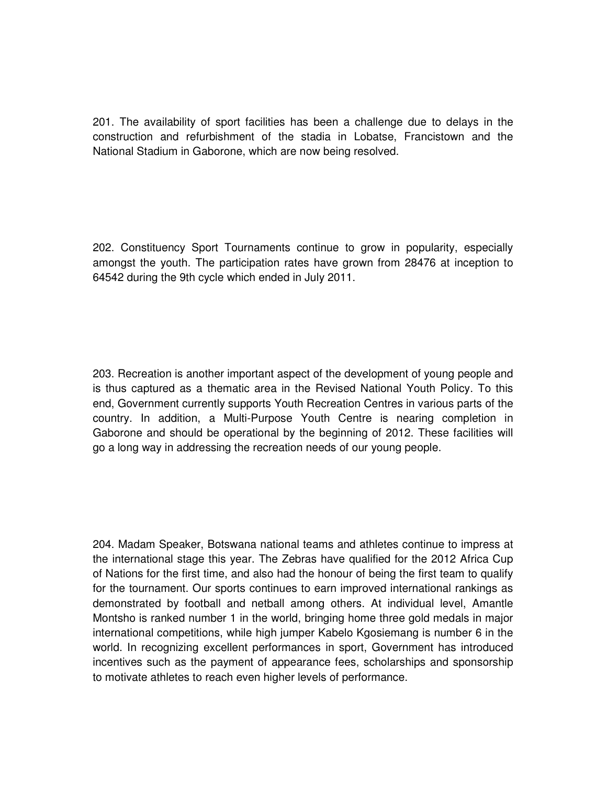201. The availability of sport facilities has been a challenge due to delays in the construction and refurbishment of the stadia in Lobatse, Francistown and the National Stadium in Gaborone, which are now being resolved.

202. Constituency Sport Tournaments continue to grow in popularity, especially amongst the youth. The participation rates have grown from 28476 at inception to 64542 during the 9th cycle which ended in July 2011.

203. Recreation is another important aspect of the development of young people and is thus captured as a thematic area in the Revised National Youth Policy. To this end, Government currently supports Youth Recreation Centres in various parts of the country. In addition, a Multi-Purpose Youth Centre is nearing completion in Gaborone and should be operational by the beginning of 2012. These facilities will go a long way in addressing the recreation needs of our young people.

204. Madam Speaker, Botswana national teams and athletes continue to impress at the international stage this year. The Zebras have qualified for the 2012 Africa Cup of Nations for the first time, and also had the honour of being the first team to qualify for the tournament. Our sports continues to earn improved international rankings as demonstrated by football and netball among others. At individual level, Amantle Montsho is ranked number 1 in the world, bringing home three gold medals in major international competitions, while high jumper Kabelo Kgosiemang is number 6 in the world. In recognizing excellent performances in sport, Government has introduced incentives such as the payment of appearance fees, scholarships and sponsorship to motivate athletes to reach even higher levels of performance.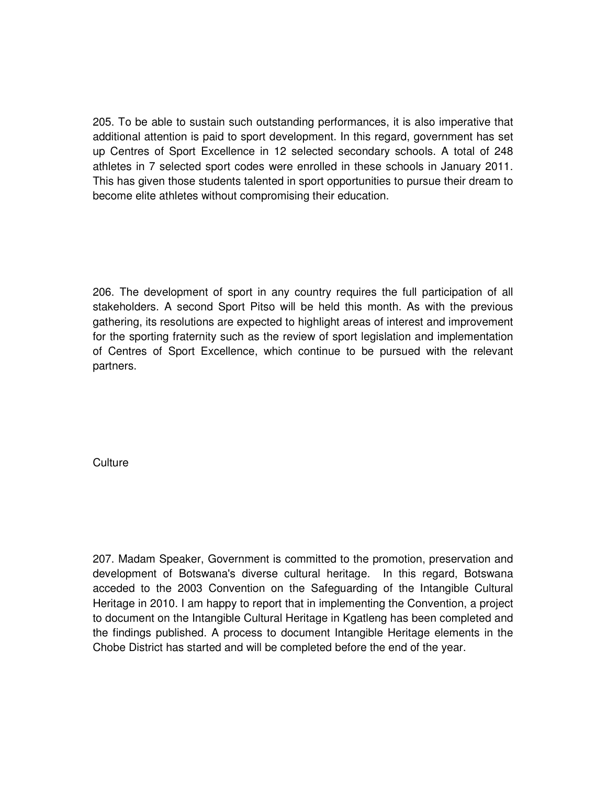205. To be able to sustain such outstanding performances, it is also imperative that additional attention is paid to sport development. In this regard, government has set up Centres of Sport Excellence in 12 selected secondary schools. A total of 248 athletes in 7 selected sport codes were enrolled in these schools in January 2011. This has given those students talented in sport opportunities to pursue their dream to become elite athletes without compromising their education.

206. The development of sport in any country requires the full participation of all stakeholders. A second Sport Pitso will be held this month. As with the previous gathering, its resolutions are expected to highlight areas of interest and improvement for the sporting fraternity such as the review of sport legislation and implementation of Centres of Sport Excellence, which continue to be pursued with the relevant partners.

**Culture** 

207. Madam Speaker, Government is committed to the promotion, preservation and development of Botswana's diverse cultural heritage. In this regard, Botswana acceded to the 2003 Convention on the Safeguarding of the Intangible Cultural Heritage in 2010. I am happy to report that in implementing the Convention, a project to document on the Intangible Cultural Heritage in Kgatleng has been completed and the findings published. A process to document Intangible Heritage elements in the Chobe District has started and will be completed before the end of the year.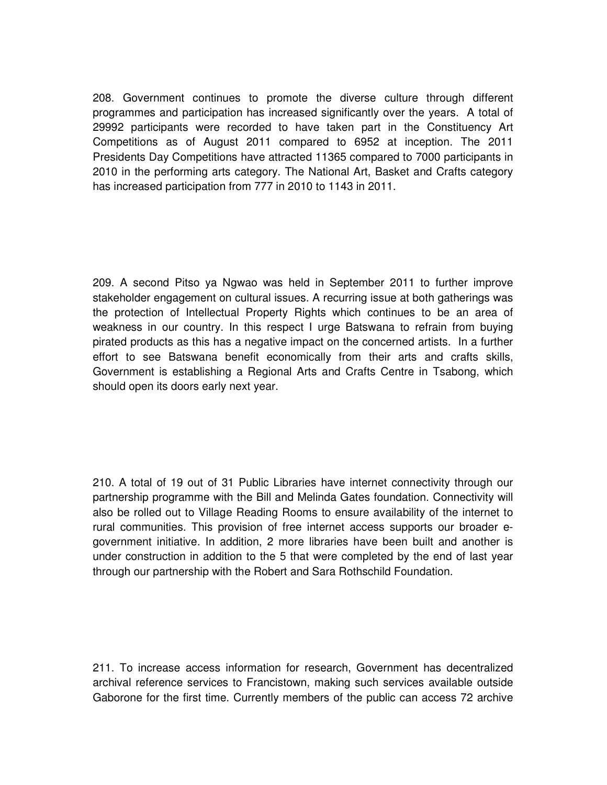208. Government continues to promote the diverse culture through different programmes and participation has increased significantly over the years. A total of 29992 participants were recorded to have taken part in the Constituency Art Competitions as of August 2011 compared to 6952 at inception. The 2011 Presidents Day Competitions have attracted 11365 compared to 7000 participants in 2010 in the performing arts category. The National Art, Basket and Crafts category has increased participation from 777 in 2010 to 1143 in 2011.

209. A second Pitso ya Ngwao was held in September 2011 to further improve stakeholder engagement on cultural issues. A recurring issue at both gatherings was the protection of Intellectual Property Rights which continues to be an area of weakness in our country. In this respect I urge Batswana to refrain from buying pirated products as this has a negative impact on the concerned artists. In a further effort to see Batswana benefit economically from their arts and crafts skills, Government is establishing a Regional Arts and Crafts Centre in Tsabong, which should open its doors early next year.

210. A total of 19 out of 31 Public Libraries have internet connectivity through our partnership programme with the Bill and Melinda Gates foundation. Connectivity will also be rolled out to Village Reading Rooms to ensure availability of the internet to rural communities. This provision of free internet access supports our broader egovernment initiative. In addition, 2 more libraries have been built and another is under construction in addition to the 5 that were completed by the end of last year through our partnership with the Robert and Sara Rothschild Foundation.

211. To increase access information for research, Government has decentralized archival reference services to Francistown, making such services available outside Gaborone for the first time. Currently members of the public can access 72 archive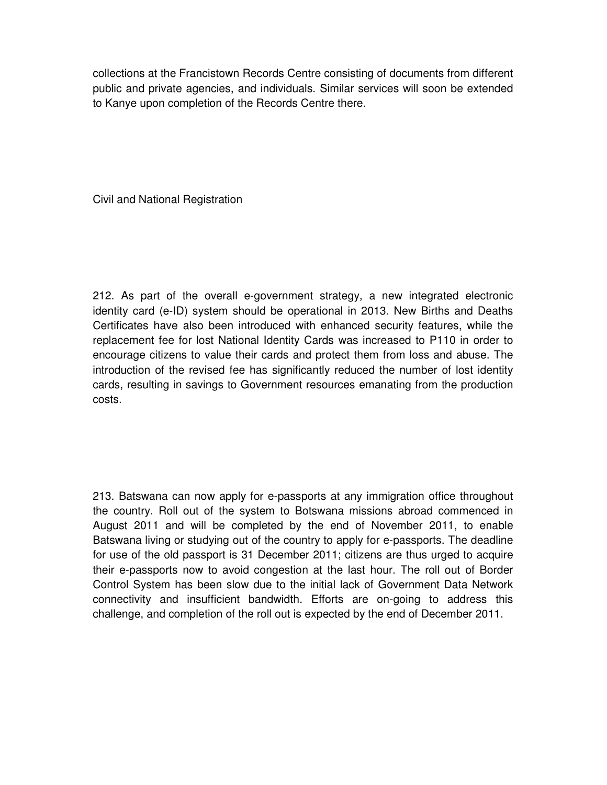collections at the Francistown Records Centre consisting of documents from different public and private agencies, and individuals. Similar services will soon be extended to Kanye upon completion of the Records Centre there.

Civil and National Registration

212. As part of the overall e-government strategy, a new integrated electronic identity card (e-ID) system should be operational in 2013. New Births and Deaths Certificates have also been introduced with enhanced security features, while the replacement fee for lost National Identity Cards was increased to P110 in order to encourage citizens to value their cards and protect them from loss and abuse. The introduction of the revised fee has significantly reduced the number of lost identity cards, resulting in savings to Government resources emanating from the production costs.

213. Batswana can now apply for e-passports at any immigration office throughout the country. Roll out of the system to Botswana missions abroad commenced in August 2011 and will be completed by the end of November 2011, to enable Batswana living or studying out of the country to apply for e-passports. The deadline for use of the old passport is 31 December 2011; citizens are thus urged to acquire their e-passports now to avoid congestion at the last hour. The roll out of Border Control System has been slow due to the initial lack of Government Data Network connectivity and insufficient bandwidth. Efforts are on-going to address this challenge, and completion of the roll out is expected by the end of December 2011.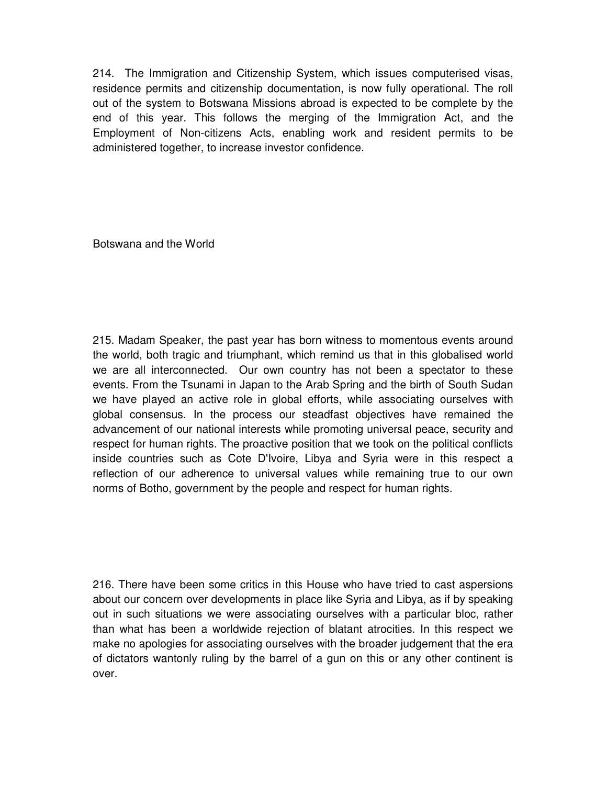214. The Immigration and Citizenship System, which issues computerised visas, residence permits and citizenship documentation, is now fully operational. The roll out of the system to Botswana Missions abroad is expected to be complete by the end of this year. This follows the merging of the Immigration Act, and the Employment of Non-citizens Acts, enabling work and resident permits to be administered together, to increase investor confidence.

Botswana and the World

215. Madam Speaker, the past year has born witness to momentous events around the world, both tragic and triumphant, which remind us that in this globalised world we are all interconnected. Our own country has not been a spectator to these events. From the Tsunami in Japan to the Arab Spring and the birth of South Sudan we have played an active role in global efforts, while associating ourselves with global consensus. In the process our steadfast objectives have remained the advancement of our national interests while promoting universal peace, security and respect for human rights. The proactive position that we took on the political conflicts inside countries such as Cote D'Ivoire, Libya and Syria were in this respect a reflection of our adherence to universal values while remaining true to our own norms of Botho, government by the people and respect for human rights.

216. There have been some critics in this House who have tried to cast aspersions about our concern over developments in place like Syria and Libya, as if by speaking out in such situations we were associating ourselves with a particular bloc, rather than what has been a worldwide rejection of blatant atrocities. In this respect we make no apologies for associating ourselves with the broader judgement that the era of dictators wantonly ruling by the barrel of a gun on this or any other continent is over.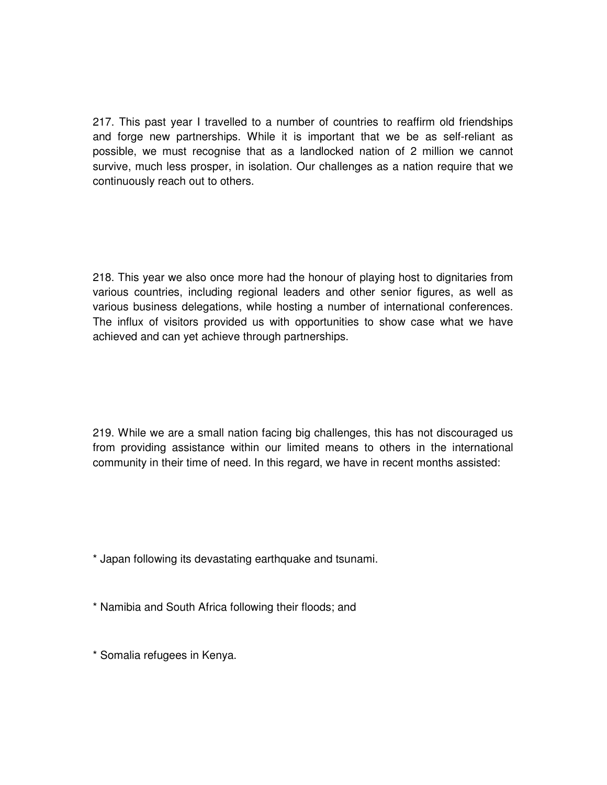217. This past year I travelled to a number of countries to reaffirm old friendships and forge new partnerships. While it is important that we be as self-reliant as possible, we must recognise that as a landlocked nation of 2 million we cannot survive, much less prosper, in isolation. Our challenges as a nation require that we continuously reach out to others.

218. This year we also once more had the honour of playing host to dignitaries from various countries, including regional leaders and other senior figures, as well as various business delegations, while hosting a number of international conferences. The influx of visitors provided us with opportunities to show case what we have achieved and can yet achieve through partnerships.

219. While we are a small nation facing big challenges, this has not discouraged us from providing assistance within our limited means to others in the international community in their time of need. In this regard, we have in recent months assisted:

\* Japan following its devastating earthquake and tsunami.

\* Namibia and South Africa following their floods; and

\* Somalia refugees in Kenya.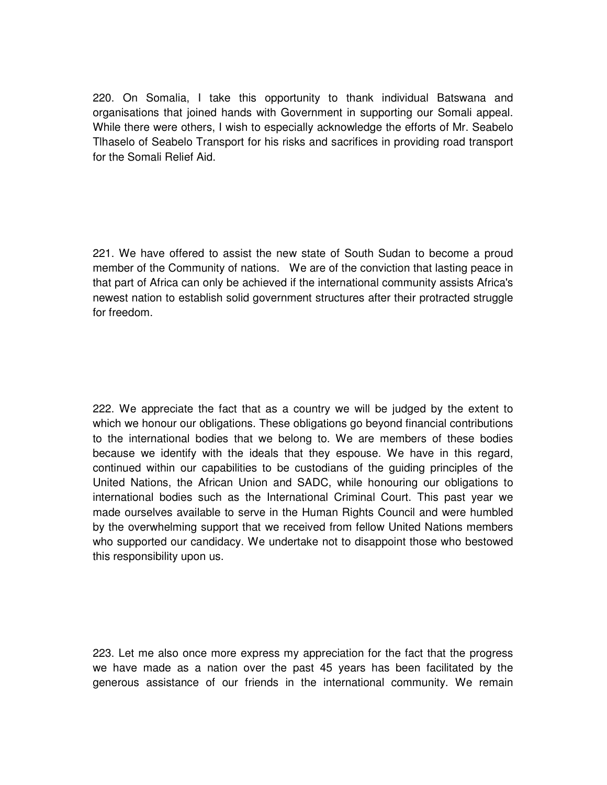220. On Somalia, I take this opportunity to thank individual Batswana and organisations that joined hands with Government in supporting our Somali appeal. While there were others, I wish to especially acknowledge the efforts of Mr. Seabelo Tlhaselo of Seabelo Transport for his risks and sacrifices in providing road transport for the Somali Relief Aid.

221. We have offered to assist the new state of South Sudan to become a proud member of the Community of nations. We are of the conviction that lasting peace in that part of Africa can only be achieved if the international community assists Africa's newest nation to establish solid government structures after their protracted struggle for freedom.

222. We appreciate the fact that as a country we will be judged by the extent to which we honour our obligations. These obligations go beyond financial contributions to the international bodies that we belong to. We are members of these bodies because we identify with the ideals that they espouse. We have in this regard, continued within our capabilities to be custodians of the guiding principles of the United Nations, the African Union and SADC, while honouring our obligations to international bodies such as the International Criminal Court. This past year we made ourselves available to serve in the Human Rights Council and were humbled by the overwhelming support that we received from fellow United Nations members who supported our candidacy. We undertake not to disappoint those who bestowed this responsibility upon us.

223. Let me also once more express my appreciation for the fact that the progress we have made as a nation over the past 45 years has been facilitated by the generous assistance of our friends in the international community. We remain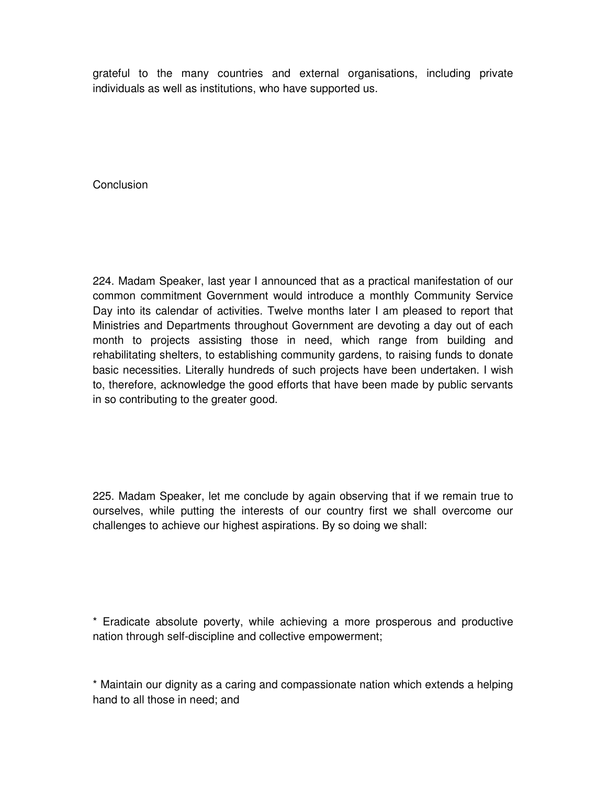grateful to the many countries and external organisations, including private individuals as well as institutions, who have supported us.

**Conclusion** 

224. Madam Speaker, last year I announced that as a practical manifestation of our common commitment Government would introduce a monthly Community Service Day into its calendar of activities. Twelve months later I am pleased to report that Ministries and Departments throughout Government are devoting a day out of each month to projects assisting those in need, which range from building and rehabilitating shelters, to establishing community gardens, to raising funds to donate basic necessities. Literally hundreds of such projects have been undertaken. I wish to, therefore, acknowledge the good efforts that have been made by public servants in so contributing to the greater good.

225. Madam Speaker, let me conclude by again observing that if we remain true to ourselves, while putting the interests of our country first we shall overcome our challenges to achieve our highest aspirations. By so doing we shall:

\* Eradicate absolute poverty, while achieving a more prosperous and productive nation through self-discipline and collective empowerment;

\* Maintain our dignity as a caring and compassionate nation which extends a helping hand to all those in need; and